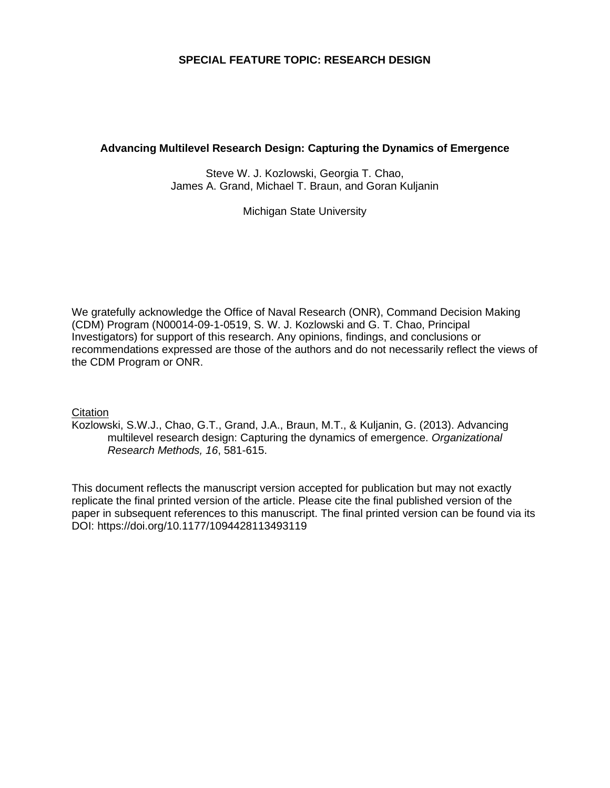# **SPECIAL FEATURE TOPIC: RESEARCH DESIGN**

# **Advancing Multilevel Research Design: Capturing the Dynamics of Emergence**

Steve W. J. Kozlowski, Georgia T. Chao, James A. Grand, Michael T. Braun, and Goran Kuljanin

Michigan State University

We gratefully acknowledge the Office of Naval Research (ONR), Command Decision Making (CDM) Program (N00014-09-1-0519, S. W. J. Kozlowski and G. T. Chao, Principal Investigators) for support of this research. Any opinions, findings, and conclusions or recommendations expressed are those of the authors and do not necessarily reflect the views of the CDM Program or ONR.

# **Citation**

Kozlowski, S.W.J., Chao, G.T., Grand, J.A., Braun, M.T., & Kuljanin, G. (2013). Advancing multilevel research design: Capturing the dynamics of emergence. *Organizational Research Methods, 16*, 581-615.

This document reflects the manuscript version accepted for publication but may not exactly replicate the final printed version of the article. Please cite the final published version of the paper in subsequent references to this manuscript. The final printed version can be found via its DOI: https://doi.org/10.1177/1094428113493119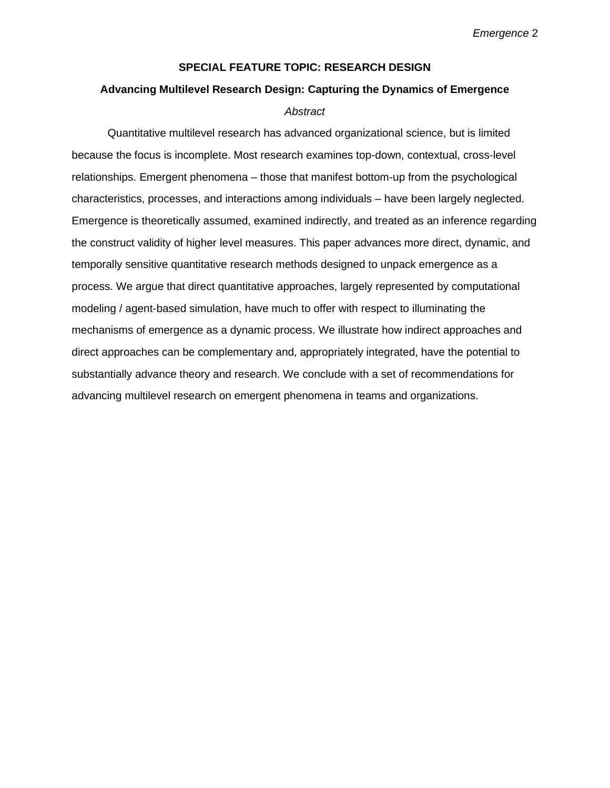# **SPECIAL FEATURE TOPIC: RESEARCH DESIGN**

## **Advancing Multilevel Research Design: Capturing the Dynamics of Emergence**

#### *Abstract*

Quantitative multilevel research has advanced organizational science, but is limited because the focus is incomplete. Most research examines top-down, contextual, cross-level relationships. Emergent phenomena – those that manifest bottom-up from the psychological characteristics, processes, and interactions among individuals – have been largely neglected. Emergence is theoretically assumed, examined indirectly, and treated as an inference regarding the construct validity of higher level measures. This paper advances more direct, dynamic, and temporally sensitive quantitative research methods designed to unpack emergence as a process. We argue that direct quantitative approaches, largely represented by computational modeling / agent-based simulation, have much to offer with respect to illuminating the mechanisms of emergence as a dynamic process. We illustrate how indirect approaches and direct approaches can be complementary and, appropriately integrated, have the potential to substantially advance theory and research. We conclude with a set of recommendations for advancing multilevel research on emergent phenomena in teams and organizations.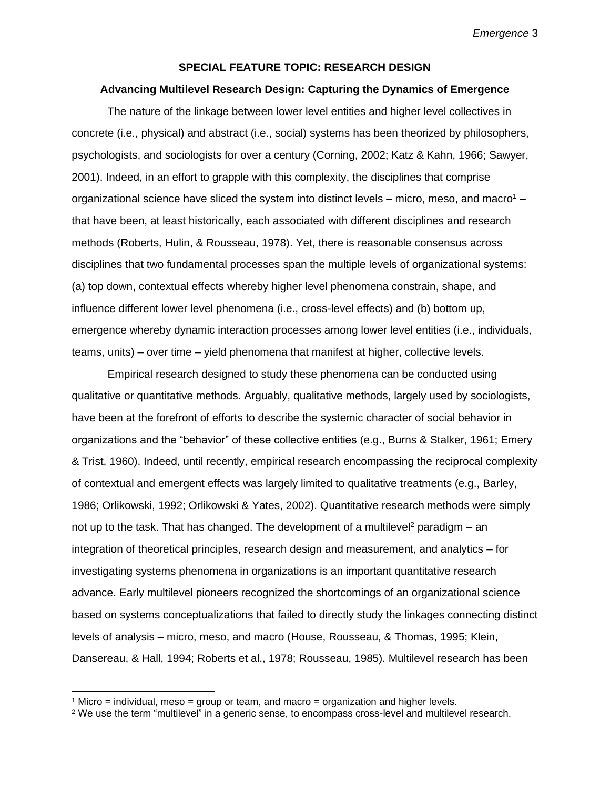# **SPECIAL FEATURE TOPIC: RESEARCH DESIGN**

## **Advancing Multilevel Research Design: Capturing the Dynamics of Emergence**

The nature of the linkage between lower level entities and higher level collectives in concrete (i.e., physical) and abstract (i.e., social) systems has been theorized by philosophers, psychologists, and sociologists for over a century (Corning, 2002; Katz & Kahn, 1966; Sawyer, 2001). Indeed, in an effort to grapple with this complexity, the disciplines that comprise organizational science have sliced the system into distinct levels – micro, meso, and macro<sup>1</sup> – that have been, at least historically, each associated with different disciplines and research methods (Roberts, Hulin, & Rousseau, 1978). Yet, there is reasonable consensus across disciplines that two fundamental processes span the multiple levels of organizational systems: (a) top down, contextual effects whereby higher level phenomena constrain, shape, and influence different lower level phenomena (i.e., cross-level effects) and (b) bottom up, emergence whereby dynamic interaction processes among lower level entities (i.e., individuals, teams, units) – over time – yield phenomena that manifest at higher, collective levels.

Empirical research designed to study these phenomena can be conducted using qualitative or quantitative methods. Arguably, qualitative methods, largely used by sociologists, have been at the forefront of efforts to describe the systemic character of social behavior in organizations and the "behavior" of these collective entities (e.g., Burns & Stalker, 1961; Emery & Trist, 1960). Indeed, until recently, empirical research encompassing the reciprocal complexity of contextual and emergent effects was largely limited to qualitative treatments (e.g., Barley, 1986; Orlikowski, 1992; Orlikowski & Yates, 2002). Quantitative research methods were simply not up to the task. That has changed. The development of a multilevel<sup>2</sup> paradigm  $-$  an integration of theoretical principles, research design and measurement, and analytics – for investigating systems phenomena in organizations is an important quantitative research advance. Early multilevel pioneers recognized the shortcomings of an organizational science based on systems conceptualizations that failed to directly study the linkages connecting distinct levels of analysis – micro, meso, and macro (House, Rousseau, & Thomas, 1995; Klein, Dansereau, & Hall, 1994; Roberts et al., 1978; Rousseau, 1985). Multilevel research has been

 $1$  Micro = individual, meso = group or team, and macro = organization and higher levels.

<sup>2</sup> We use the term "multilevel" in a generic sense, to encompass cross-level and multilevel research.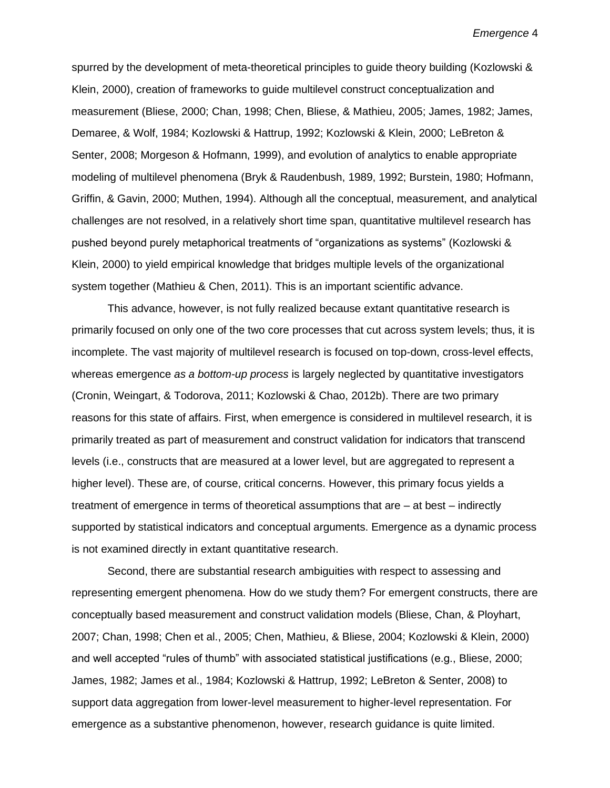spurred by the development of meta-theoretical principles to guide theory building (Kozlowski & Klein, 2000), creation of frameworks to guide multilevel construct conceptualization and measurement (Bliese, 2000; Chan, 1998; Chen, Bliese, & Mathieu, 2005; James, 1982; James, Demaree, & Wolf, 1984; Kozlowski & Hattrup, 1992; Kozlowski & Klein, 2000; LeBreton & Senter, 2008; Morgeson & Hofmann, 1999), and evolution of analytics to enable appropriate modeling of multilevel phenomena (Bryk & Raudenbush, 1989, 1992; Burstein, 1980; Hofmann, Griffin, & Gavin, 2000; Muthen, 1994). Although all the conceptual, measurement, and analytical challenges are not resolved, in a relatively short time span, quantitative multilevel research has pushed beyond purely metaphorical treatments of "organizations as systems" (Kozlowski & Klein, 2000) to yield empirical knowledge that bridges multiple levels of the organizational system together (Mathieu & Chen, 2011). This is an important scientific advance.

This advance, however, is not fully realized because extant quantitative research is primarily focused on only one of the two core processes that cut across system levels; thus, it is incomplete. The vast majority of multilevel research is focused on top-down, cross-level effects, whereas emergence *as a bottom-up process* is largely neglected by quantitative investigators (Cronin, Weingart, & Todorova, 2011; Kozlowski & Chao, 2012b). There are two primary reasons for this state of affairs. First, when emergence is considered in multilevel research, it is primarily treated as part of measurement and construct validation for indicators that transcend levels (i.e., constructs that are measured at a lower level, but are aggregated to represent a higher level). These are, of course, critical concerns. However, this primary focus yields a treatment of emergence in terms of theoretical assumptions that are – at best – indirectly supported by statistical indicators and conceptual arguments. Emergence as a dynamic process is not examined directly in extant quantitative research.

Second, there are substantial research ambiguities with respect to assessing and representing emergent phenomena. How do we study them? For emergent constructs, there are conceptually based measurement and construct validation models (Bliese, Chan, & Ployhart, 2007; Chan, 1998; Chen et al., 2005; Chen, Mathieu, & Bliese, 2004; Kozlowski & Klein, 2000) and well accepted "rules of thumb" with associated statistical justifications (e.g., Bliese, 2000; James, 1982; James et al., 1984; Kozlowski & Hattrup, 1992; LeBreton & Senter, 2008) to support data aggregation from lower-level measurement to higher-level representation. For emergence as a substantive phenomenon, however, research guidance is quite limited.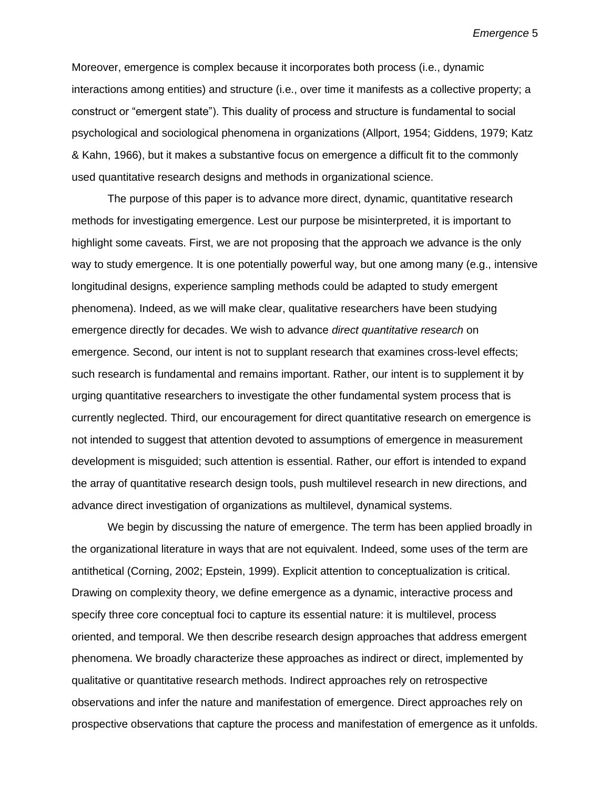Moreover, emergence is complex because it incorporates both process (i.e., dynamic interactions among entities) and structure (i.e., over time it manifests as a collective property; a construct or "emergent state"). This duality of process and structure is fundamental to social psychological and sociological phenomena in organizations (Allport, 1954; Giddens, 1979; Katz & Kahn, 1966), but it makes a substantive focus on emergence a difficult fit to the commonly used quantitative research designs and methods in organizational science.

The purpose of this paper is to advance more direct, dynamic, quantitative research methods for investigating emergence. Lest our purpose be misinterpreted, it is important to highlight some caveats. First, we are not proposing that the approach we advance is the only way to study emergence. It is one potentially powerful way, but one among many (e.g., intensive longitudinal designs, experience sampling methods could be adapted to study emergent phenomena). Indeed, as we will make clear, qualitative researchers have been studying emergence directly for decades. We wish to advance *direct quantitative research* on emergence. Second, our intent is not to supplant research that examines cross-level effects; such research is fundamental and remains important. Rather, our intent is to supplement it by urging quantitative researchers to investigate the other fundamental system process that is currently neglected. Third, our encouragement for direct quantitative research on emergence is not intended to suggest that attention devoted to assumptions of emergence in measurement development is misguided; such attention is essential. Rather, our effort is intended to expand the array of quantitative research design tools, push multilevel research in new directions, and advance direct investigation of organizations as multilevel, dynamical systems.

We begin by discussing the nature of emergence. The term has been applied broadly in the organizational literature in ways that are not equivalent. Indeed, some uses of the term are antithetical (Corning, 2002; Epstein, 1999). Explicit attention to conceptualization is critical. Drawing on complexity theory, we define emergence as a dynamic, interactive process and specify three core conceptual foci to capture its essential nature: it is multilevel, process oriented, and temporal. We then describe research design approaches that address emergent phenomena. We broadly characterize these approaches as indirect or direct, implemented by qualitative or quantitative research methods. Indirect approaches rely on retrospective observations and infer the nature and manifestation of emergence. Direct approaches rely on prospective observations that capture the process and manifestation of emergence as it unfolds.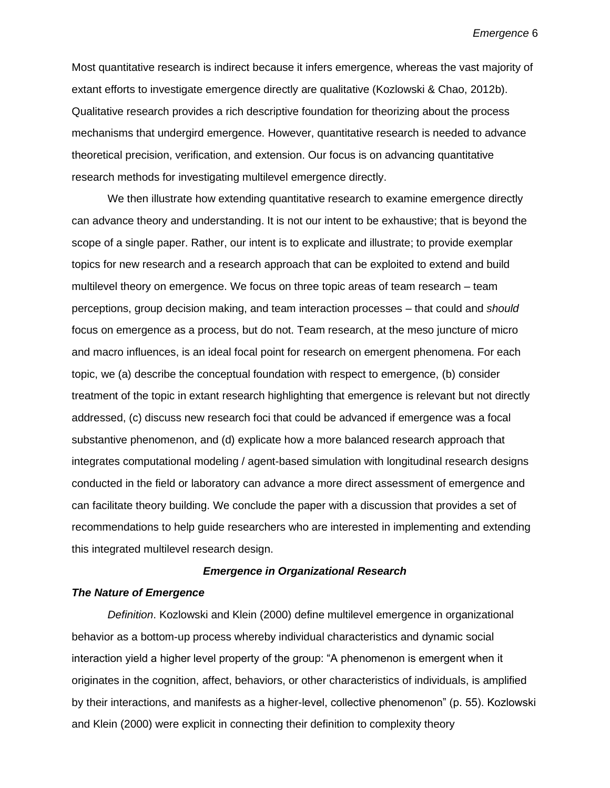Most quantitative research is indirect because it infers emergence, whereas the vast majority of extant efforts to investigate emergence directly are qualitative (Kozlowski & Chao, 2012b). Qualitative research provides a rich descriptive foundation for theorizing about the process mechanisms that undergird emergence. However, quantitative research is needed to advance theoretical precision, verification, and extension. Our focus is on advancing quantitative research methods for investigating multilevel emergence directly.

We then illustrate how extending quantitative research to examine emergence directly can advance theory and understanding. It is not our intent to be exhaustive; that is beyond the scope of a single paper. Rather, our intent is to explicate and illustrate; to provide exemplar topics for new research and a research approach that can be exploited to extend and build multilevel theory on emergence. We focus on three topic areas of team research – team perceptions, group decision making, and team interaction processes – that could and *should*  focus on emergence as a process, but do not. Team research, at the meso juncture of micro and macro influences, is an ideal focal point for research on emergent phenomena. For each topic, we (a) describe the conceptual foundation with respect to emergence, (b) consider treatment of the topic in extant research highlighting that emergence is relevant but not directly addressed, (c) discuss new research foci that could be advanced if emergence was a focal substantive phenomenon, and (d) explicate how a more balanced research approach that integrates computational modeling / agent-based simulation with longitudinal research designs conducted in the field or laboratory can advance a more direct assessment of emergence and can facilitate theory building. We conclude the paper with a discussion that provides a set of recommendations to help guide researchers who are interested in implementing and extending this integrated multilevel research design.

## *Emergence in Organizational Research*

## *The Nature of Emergence*

*Definition*. Kozlowski and Klein (2000) define multilevel emergence in organizational behavior as a bottom-up process whereby individual characteristics and dynamic social interaction yield a higher level property of the group: "A phenomenon is emergent when it originates in the cognition, affect, behaviors, or other characteristics of individuals, is amplified by their interactions, and manifests as a higher-level, collective phenomenon" (p. 55). Kozlowski and Klein (2000) were explicit in connecting their definition to complexity theory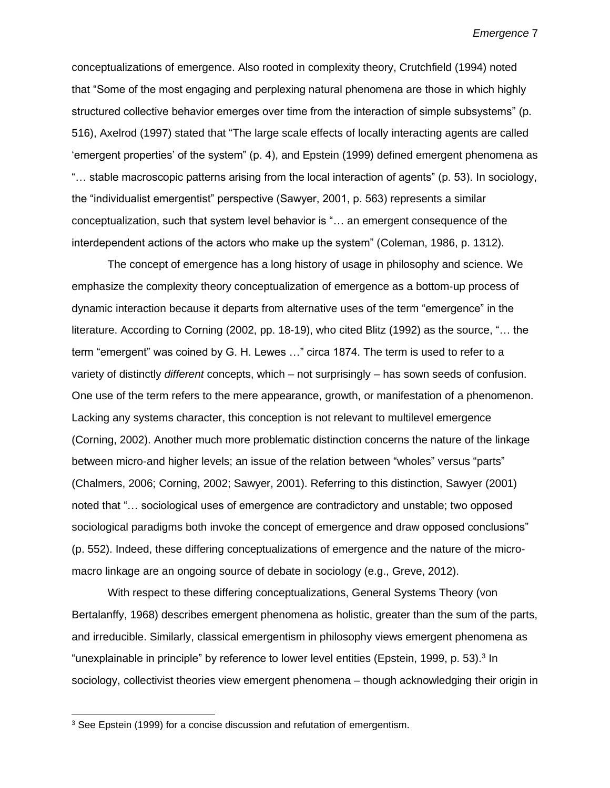conceptualizations of emergence. Also rooted in complexity theory, Crutchfield (1994) noted that "Some of the most engaging and perplexing natural phenomena are those in which highly structured collective behavior emerges over time from the interaction of simple subsystems" (p. 516), Axelrod (1997) stated that "The large scale effects of locally interacting agents are called 'emergent properties' of the system" (p. 4), and Epstein (1999) defined emergent phenomena as "… stable macroscopic patterns arising from the local interaction of agents" (p. 53). In sociology, the "individualist emergentist" perspective (Sawyer, 2001, p. 563) represents a similar conceptualization, such that system level behavior is "… an emergent consequence of the interdependent actions of the actors who make up the system" (Coleman, 1986, p. 1312).

The concept of emergence has a long history of usage in philosophy and science. We emphasize the complexity theory conceptualization of emergence as a bottom-up process of dynamic interaction because it departs from alternative uses of the term "emergence" in the literature. According to Corning (2002, pp. 18-19), who cited Blitz (1992) as the source, "… the term "emergent" was coined by G. H. Lewes …" circa 1874. The term is used to refer to a variety of distinctly *different* concepts, which – not surprisingly – has sown seeds of confusion. One use of the term refers to the mere appearance, growth, or manifestation of a phenomenon. Lacking any systems character, this conception is not relevant to multilevel emergence (Corning, 2002). Another much more problematic distinction concerns the nature of the linkage between micro-and higher levels; an issue of the relation between "wholes" versus "parts" (Chalmers, 2006; Corning, 2002; Sawyer, 2001). Referring to this distinction, Sawyer (2001) noted that "… sociological uses of emergence are contradictory and unstable; two opposed sociological paradigms both invoke the concept of emergence and draw opposed conclusions" (p. 552). Indeed, these differing conceptualizations of emergence and the nature of the micromacro linkage are an ongoing source of debate in sociology (e.g., Greve, 2012).

With respect to these differing conceptualizations, General Systems Theory (von Bertalanffy, 1968) describes emergent phenomena as holistic, greater than the sum of the parts, and irreducible. Similarly, classical emergentism in philosophy views emergent phenomena as "unexplainable in principle" by reference to lower level entities (Epstein, 1999, p. 53).<sup>3</sup> In sociology, collectivist theories view emergent phenomena – though acknowledging their origin in

<sup>3</sup> See Epstein (1999) for a concise discussion and refutation of emergentism.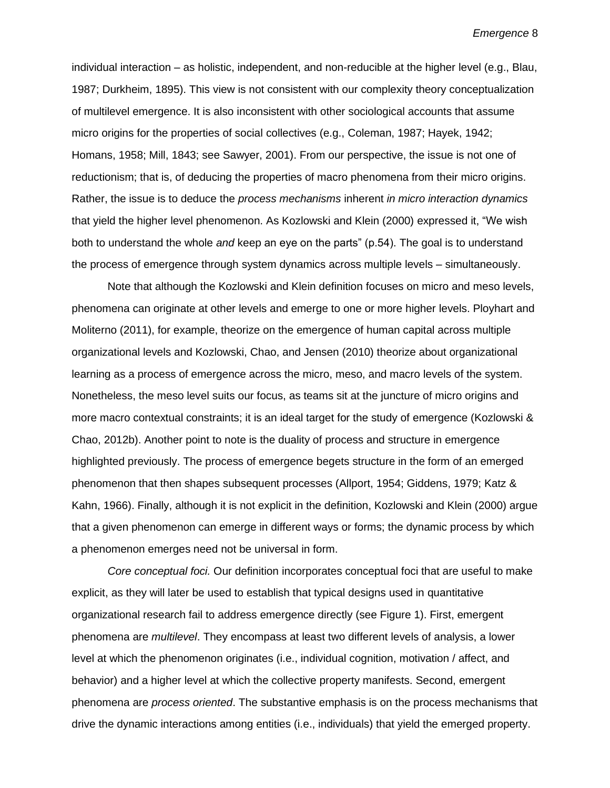individual interaction – as holistic, independent, and non-reducible at the higher level (e.g., Blau, 1987; Durkheim, 1895). This view is not consistent with our complexity theory conceptualization of multilevel emergence. It is also inconsistent with other sociological accounts that assume micro origins for the properties of social collectives (e.g., Coleman, 1987; Hayek, 1942; Homans, 1958; Mill, 1843; see Sawyer, 2001). From our perspective, the issue is not one of reductionism; that is, of deducing the properties of macro phenomena from their micro origins. Rather, the issue is to deduce the *process mechanisms* inherent *in micro interaction dynamics* that yield the higher level phenomenon. As Kozlowski and Klein (2000) expressed it, "We wish both to understand the whole *and* keep an eye on the parts" (p.54). The goal is to understand the process of emergence through system dynamics across multiple levels – simultaneously.

Note that although the Kozlowski and Klein definition focuses on micro and meso levels, phenomena can originate at other levels and emerge to one or more higher levels. Ployhart and Moliterno (2011), for example, theorize on the emergence of human capital across multiple organizational levels and Kozlowski, Chao, and Jensen (2010) theorize about organizational learning as a process of emergence across the micro, meso, and macro levels of the system. Nonetheless, the meso level suits our focus, as teams sit at the juncture of micro origins and more macro contextual constraints; it is an ideal target for the study of emergence (Kozlowski & Chao, 2012b). Another point to note is the duality of process and structure in emergence highlighted previously. The process of emergence begets structure in the form of an emerged phenomenon that then shapes subsequent processes (Allport, 1954; Giddens, 1979; Katz & Kahn, 1966). Finally, although it is not explicit in the definition, Kozlowski and Klein (2000) argue that a given phenomenon can emerge in different ways or forms; the dynamic process by which a phenomenon emerges need not be universal in form.

*Core conceptual foci.* Our definition incorporates conceptual foci that are useful to make explicit, as they will later be used to establish that typical designs used in quantitative organizational research fail to address emergence directly (see Figure 1). First, emergent phenomena are *multilevel*. They encompass at least two different levels of analysis, a lower level at which the phenomenon originates (i.e., individual cognition, motivation / affect, and behavior) and a higher level at which the collective property manifests. Second, emergent phenomena are *process oriented*. The substantive emphasis is on the process mechanisms that drive the dynamic interactions among entities (i.e., individuals) that yield the emerged property.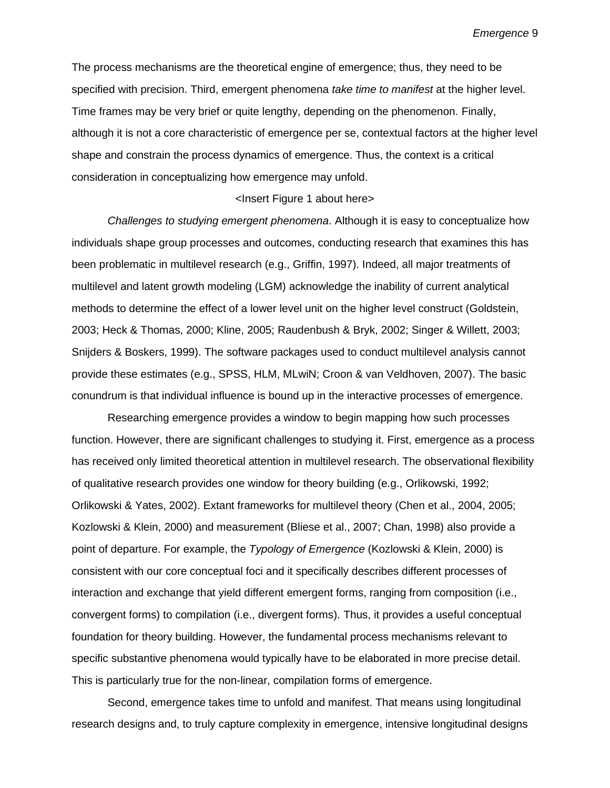The process mechanisms are the theoretical engine of emergence; thus, they need to be specified with precision. Third, emergent phenomena *take time to manifest* at the higher level. Time frames may be very brief or quite lengthy, depending on the phenomenon. Finally, although it is not a core characteristic of emergence per se, contextual factors at the higher level shape and constrain the process dynamics of emergence. Thus, the context is a critical consideration in conceptualizing how emergence may unfold.

## <Insert Figure 1 about here>

*Challenges to studying emergent phenomena*. Although it is easy to conceptualize how individuals shape group processes and outcomes, conducting research that examines this has been problematic in multilevel research (e.g., Griffin, 1997). Indeed, all major treatments of multilevel and latent growth modeling (LGM) acknowledge the inability of current analytical methods to determine the effect of a lower level unit on the higher level construct (Goldstein, 2003; Heck & Thomas, 2000; Kline, 2005; Raudenbush & Bryk, 2002; Singer & Willett, 2003; Snijders & Boskers, 1999). The software packages used to conduct multilevel analysis cannot provide these estimates (e.g., SPSS, HLM, MLwiN; Croon & van Veldhoven, 2007). The basic conundrum is that individual influence is bound up in the interactive processes of emergence.

Researching emergence provides a window to begin mapping how such processes function. However, there are significant challenges to studying it. First, emergence as a process has received only limited theoretical attention in multilevel research. The observational flexibility of qualitative research provides one window for theory building (e.g., Orlikowski, 1992; Orlikowski & Yates, 2002). Extant frameworks for multilevel theory (Chen et al., 2004, 2005; Kozlowski & Klein, 2000) and measurement (Bliese et al., 2007; Chan, 1998) also provide a point of departure. For example, the *Typology of Emergence* (Kozlowski & Klein, 2000) is consistent with our core conceptual foci and it specifically describes different processes of interaction and exchange that yield different emergent forms, ranging from composition (i.e., convergent forms) to compilation (i.e., divergent forms). Thus, it provides a useful conceptual foundation for theory building. However, the fundamental process mechanisms relevant to specific substantive phenomena would typically have to be elaborated in more precise detail. This is particularly true for the non-linear, compilation forms of emergence.

Second, emergence takes time to unfold and manifest. That means using longitudinal research designs and, to truly capture complexity in emergence, intensive longitudinal designs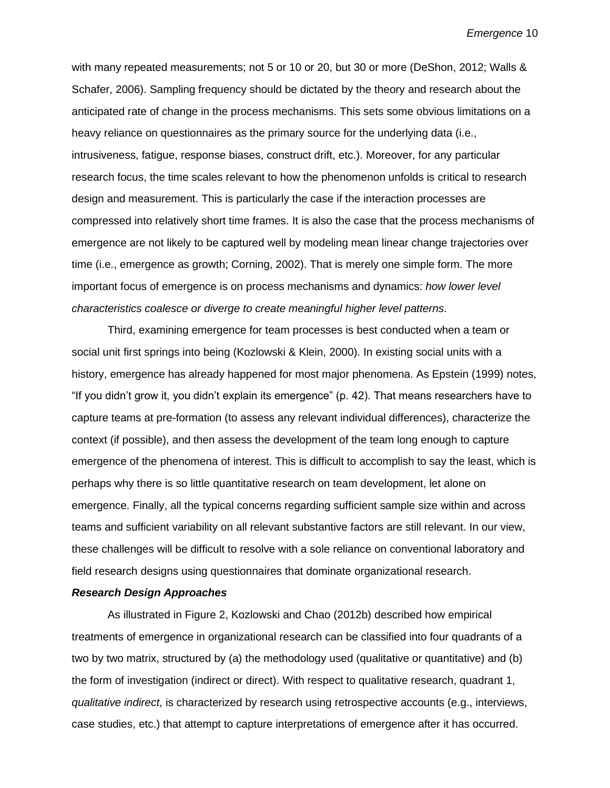with many repeated measurements; not 5 or 10 or 20, but 30 or more (DeShon, 2012; Walls & Schafer, 2006). Sampling frequency should be dictated by the theory and research about the anticipated rate of change in the process mechanisms. This sets some obvious limitations on a heavy reliance on questionnaires as the primary source for the underlying data (i.e., intrusiveness, fatigue, response biases, construct drift, etc.). Moreover, for any particular research focus, the time scales relevant to how the phenomenon unfolds is critical to research design and measurement. This is particularly the case if the interaction processes are compressed into relatively short time frames. It is also the case that the process mechanisms of emergence are not likely to be captured well by modeling mean linear change trajectories over time (i.e., emergence as growth; Corning, 2002). That is merely one simple form. The more important focus of emergence is on process mechanisms and dynamics: *how lower level characteristics coalesce or diverge to create meaningful higher level patterns*.

Third, examining emergence for team processes is best conducted when a team or social unit first springs into being (Kozlowski & Klein, 2000). In existing social units with a history, emergence has already happened for most major phenomena. As Epstein (1999) notes, "If you didn't grow it, you didn't explain its emergence" (p. 42). That means researchers have to capture teams at pre-formation (to assess any relevant individual differences), characterize the context (if possible), and then assess the development of the team long enough to capture emergence of the phenomena of interest. This is difficult to accomplish to say the least, which is perhaps why there is so little quantitative research on team development, let alone on emergence. Finally, all the typical concerns regarding sufficient sample size within and across teams and sufficient variability on all relevant substantive factors are still relevant. In our view, these challenges will be difficult to resolve with a sole reliance on conventional laboratory and field research designs using questionnaires that dominate organizational research.

## *Research Design Approaches*

As illustrated in Figure 2, Kozlowski and Chao (2012b) described how empirical treatments of emergence in organizational research can be classified into four quadrants of a two by two matrix, structured by (a) the methodology used (qualitative or quantitative) and (b) the form of investigation (indirect or direct). With respect to qualitative research, quadrant 1, *qualitative indirect*, is characterized by research using retrospective accounts (e.g., interviews, case studies, etc.) that attempt to capture interpretations of emergence after it has occurred.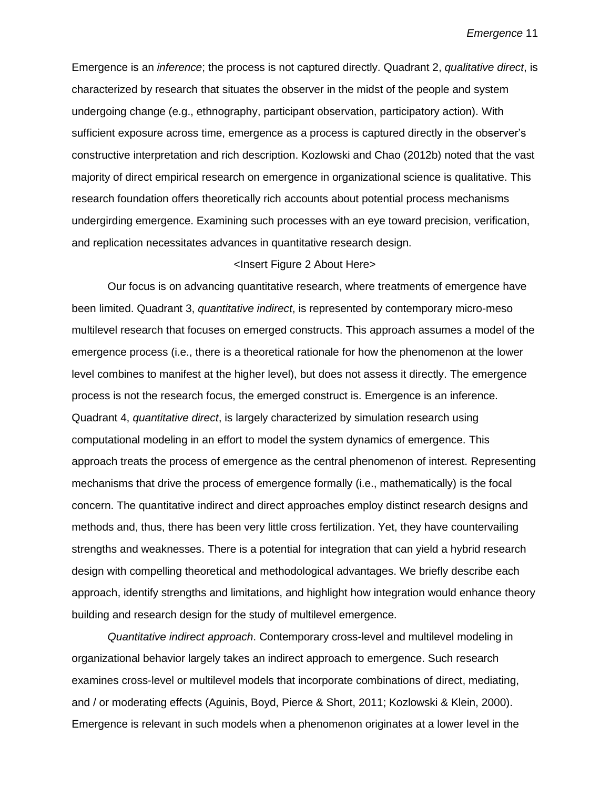Emergence is an *inference*; the process is not captured directly. Quadrant 2, *qualitative direct*, is characterized by research that situates the observer in the midst of the people and system undergoing change (e.g., ethnography, participant observation, participatory action). With sufficient exposure across time, emergence as a process is captured directly in the observer's constructive interpretation and rich description. Kozlowski and Chao (2012b) noted that the vast majority of direct empirical research on emergence in organizational science is qualitative. This research foundation offers theoretically rich accounts about potential process mechanisms undergirding emergence. Examining such processes with an eye toward precision, verification, and replication necessitates advances in quantitative research design.

## <Insert Figure 2 About Here>

Our focus is on advancing quantitative research, where treatments of emergence have been limited. Quadrant 3, *quantitative indirect*, is represented by contemporary micro-meso multilevel research that focuses on emerged constructs. This approach assumes a model of the emergence process (i.e., there is a theoretical rationale for how the phenomenon at the lower level combines to manifest at the higher level), but does not assess it directly. The emergence process is not the research focus, the emerged construct is. Emergence is an inference. Quadrant 4, *quantitative direct*, is largely characterized by simulation research using computational modeling in an effort to model the system dynamics of emergence. This approach treats the process of emergence as the central phenomenon of interest. Representing mechanisms that drive the process of emergence formally (i.e., mathematically) is the focal concern. The quantitative indirect and direct approaches employ distinct research designs and methods and, thus, there has been very little cross fertilization. Yet, they have countervailing strengths and weaknesses. There is a potential for integration that can yield a hybrid research design with compelling theoretical and methodological advantages. We briefly describe each approach, identify strengths and limitations, and highlight how integration would enhance theory building and research design for the study of multilevel emergence.

*Quantitative indirect approach*. Contemporary cross-level and multilevel modeling in organizational behavior largely takes an indirect approach to emergence. Such research examines cross-level or multilevel models that incorporate combinations of direct, mediating, and / or moderating effects (Aguinis, Boyd, Pierce & Short, 2011; Kozlowski & Klein, 2000). Emergence is relevant in such models when a phenomenon originates at a lower level in the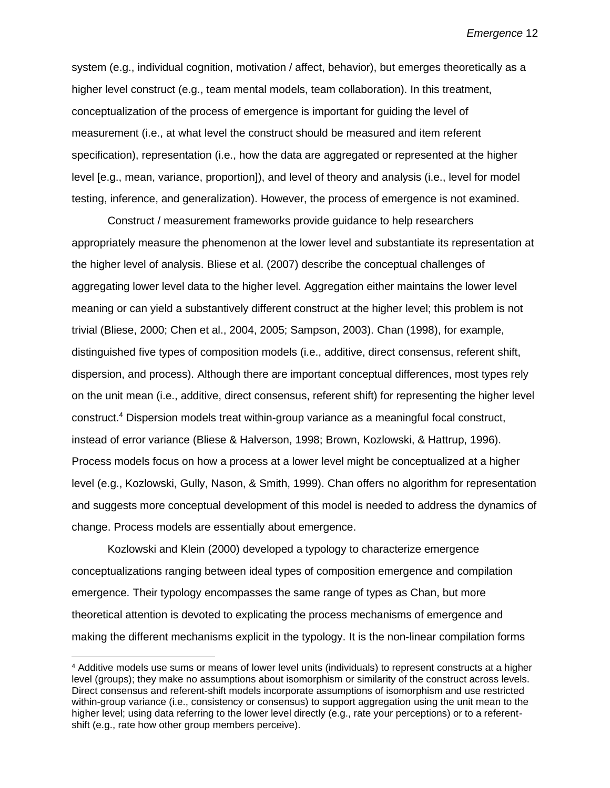system (e.g., individual cognition, motivation / affect, behavior), but emerges theoretically as a higher level construct (e.g., team mental models, team collaboration). In this treatment, conceptualization of the process of emergence is important for guiding the level of measurement (i.e., at what level the construct should be measured and item referent specification), representation (i.e., how the data are aggregated or represented at the higher level [e.g., mean, variance, proportion]), and level of theory and analysis (i.e., level for model testing, inference, and generalization). However, the process of emergence is not examined.

Construct / measurement frameworks provide guidance to help researchers appropriately measure the phenomenon at the lower level and substantiate its representation at the higher level of analysis. Bliese et al. (2007) describe the conceptual challenges of aggregating lower level data to the higher level. Aggregation either maintains the lower level meaning or can yield a substantively different construct at the higher level; this problem is not trivial (Bliese, 2000; Chen et al., 2004, 2005; Sampson, 2003). Chan (1998), for example, distinguished five types of composition models (i.e., additive, direct consensus, referent shift, dispersion, and process). Although there are important conceptual differences, most types rely on the unit mean (i.e., additive, direct consensus, referent shift) for representing the higher level construct.<sup>4</sup> Dispersion models treat within-group variance as a meaningful focal construct, instead of error variance (Bliese & Halverson, 1998; Brown, Kozlowski, & Hattrup, 1996). Process models focus on how a process at a lower level might be conceptualized at a higher level (e.g., Kozlowski, Gully, Nason, & Smith, 1999). Chan offers no algorithm for representation and suggests more conceptual development of this model is needed to address the dynamics of change. Process models are essentially about emergence.

Kozlowski and Klein (2000) developed a typology to characterize emergence conceptualizations ranging between ideal types of composition emergence and compilation emergence. Their typology encompasses the same range of types as Chan, but more theoretical attention is devoted to explicating the process mechanisms of emergence and making the different mechanisms explicit in the typology. It is the non-linear compilation forms

<sup>4</sup> Additive models use sums or means of lower level units (individuals) to represent constructs at a higher level (groups); they make no assumptions about isomorphism or similarity of the construct across levels. Direct consensus and referent-shift models incorporate assumptions of isomorphism and use restricted within-group variance (i.e., consistency or consensus) to support aggregation using the unit mean to the higher level; using data referring to the lower level directly (e.g., rate your perceptions) or to a referentshift (e.g., rate how other group members perceive).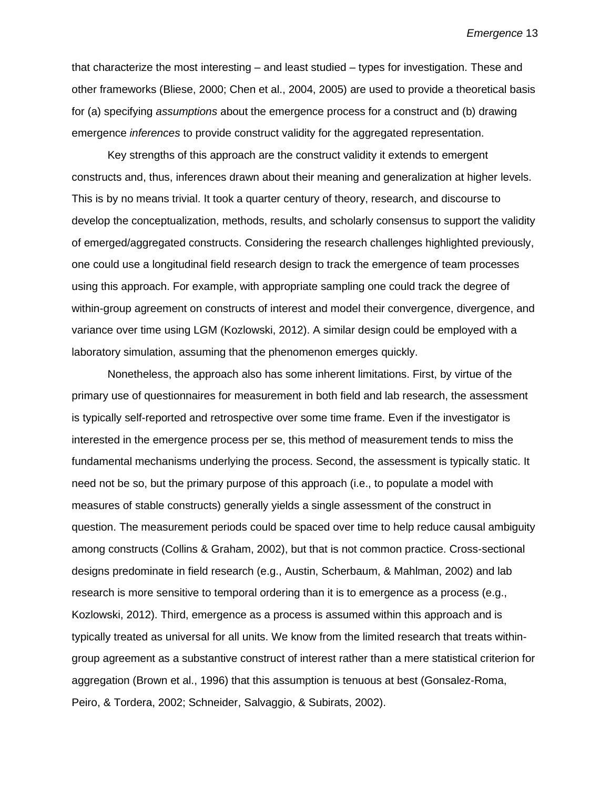that characterize the most interesting – and least studied – types for investigation. These and other frameworks (Bliese, 2000; Chen et al., 2004, 2005) are used to provide a theoretical basis for (a) specifying *assumptions* about the emergence process for a construct and (b) drawing emergence *inferences* to provide construct validity for the aggregated representation.

Key strengths of this approach are the construct validity it extends to emergent constructs and, thus, inferences drawn about their meaning and generalization at higher levels. This is by no means trivial. It took a quarter century of theory, research, and discourse to develop the conceptualization, methods, results, and scholarly consensus to support the validity of emerged/aggregated constructs. Considering the research challenges highlighted previously, one could use a longitudinal field research design to track the emergence of team processes using this approach. For example, with appropriate sampling one could track the degree of within-group agreement on constructs of interest and model their convergence, divergence, and variance over time using LGM (Kozlowski, 2012). A similar design could be employed with a laboratory simulation, assuming that the phenomenon emerges quickly.

Nonetheless, the approach also has some inherent limitations. First, by virtue of the primary use of questionnaires for measurement in both field and lab research, the assessment is typically self-reported and retrospective over some time frame. Even if the investigator is interested in the emergence process per se, this method of measurement tends to miss the fundamental mechanisms underlying the process. Second, the assessment is typically static. It need not be so, but the primary purpose of this approach (i.e., to populate a model with measures of stable constructs) generally yields a single assessment of the construct in question. The measurement periods could be spaced over time to help reduce causal ambiguity among constructs (Collins & Graham, 2002), but that is not common practice. Cross-sectional designs predominate in field research (e.g., Austin, Scherbaum, & Mahlman, 2002) and lab research is more sensitive to temporal ordering than it is to emergence as a process (e.g., Kozlowski, 2012). Third, emergence as a process is assumed within this approach and is typically treated as universal for all units. We know from the limited research that treats withingroup agreement as a substantive construct of interest rather than a mere statistical criterion for aggregation (Brown et al., 1996) that this assumption is tenuous at best (Gonsalez-Roma, Peiro, & Tordera, 2002; Schneider, Salvaggio, & Subirats, 2002).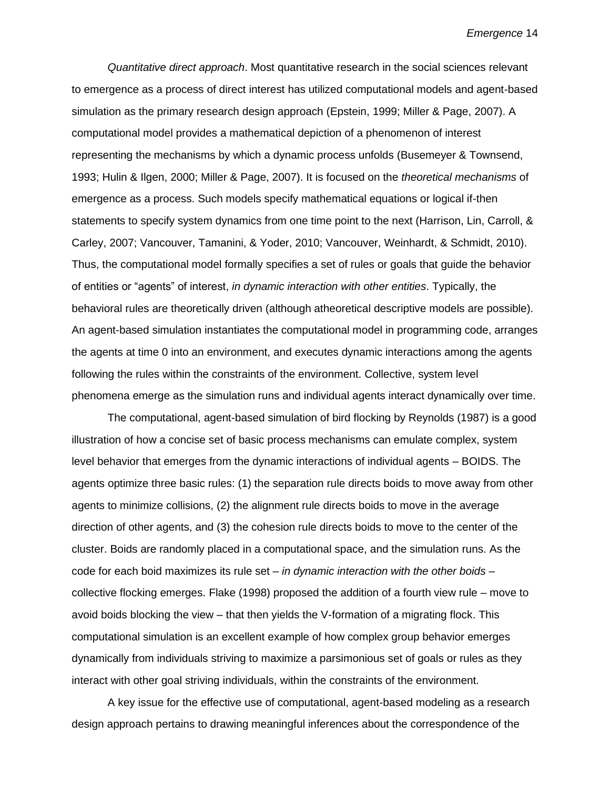*Quantitative direct approach*. Most quantitative research in the social sciences relevant to emergence as a process of direct interest has utilized computational models and agent-based simulation as the primary research design approach (Epstein, 1999; Miller & Page, 2007). A computational model provides a mathematical depiction of a phenomenon of interest representing the mechanisms by which a dynamic process unfolds (Busemeyer & Townsend, 1993; Hulin & Ilgen, 2000; Miller & Page, 2007). It is focused on the *theoretical mechanisms* of emergence as a process. Such models specify mathematical equations or logical if-then statements to specify system dynamics from one time point to the next (Harrison, Lin, Carroll, & Carley, 2007; Vancouver, Tamanini, & Yoder, 2010; Vancouver, Weinhardt, & Schmidt, 2010). Thus, the computational model formally specifies a set of rules or goals that guide the behavior of entities or "agents" of interest, *in dynamic interaction with other entities*. Typically, the behavioral rules are theoretically driven (although atheoretical descriptive models are possible). An agent-based simulation instantiates the computational model in programming code, arranges the agents at time 0 into an environment, and executes dynamic interactions among the agents following the rules within the constraints of the environment. Collective, system level phenomena emerge as the simulation runs and individual agents interact dynamically over time.

The computational, agent-based simulation of bird flocking by Reynolds (1987) is a good illustration of how a concise set of basic process mechanisms can emulate complex, system level behavior that emerges from the dynamic interactions of individual agents – BOIDS. The agents optimize three basic rules: (1) the separation rule directs boids to move away from other agents to minimize collisions, (2) the alignment rule directs boids to move in the average direction of other agents, and (3) the cohesion rule directs boids to move to the center of the cluster. Boids are randomly placed in a computational space, and the simulation runs. As the code for each boid maximizes its rule set – *in dynamic interaction with the other boids* – collective flocking emerges. Flake (1998) proposed the addition of a fourth view rule – move to avoid boids blocking the view – that then yields the V-formation of a migrating flock. This computational simulation is an excellent example of how complex group behavior emerges dynamically from individuals striving to maximize a parsimonious set of goals or rules as they interact with other goal striving individuals, within the constraints of the environment.

A key issue for the effective use of computational, agent-based modeling as a research design approach pertains to drawing meaningful inferences about the correspondence of the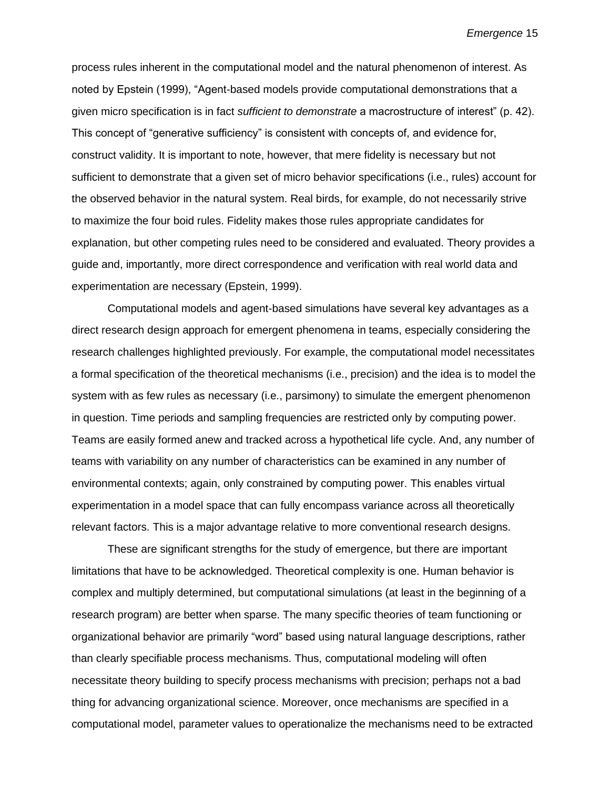process rules inherent in the computational model and the natural phenomenon of interest. As noted by Epstein (1999), "Agent-based models provide computational demonstrations that a given micro specification is in fact *sufficient to demonstrate* a macrostructure of interest" (p. 42). This concept of "generative sufficiency" is consistent with concepts of, and evidence for, construct validity. It is important to note, however, that mere fidelity is necessary but not sufficient to demonstrate that a given set of micro behavior specifications (i.e., rules) account for the observed behavior in the natural system. Real birds, for example, do not necessarily strive to maximize the four boid rules. Fidelity makes those rules appropriate candidates for explanation, but other competing rules need to be considered and evaluated. Theory provides a guide and, importantly, more direct correspondence and verification with real world data and experimentation are necessary (Epstein, 1999).

Computational models and agent-based simulations have several key advantages as a direct research design approach for emergent phenomena in teams, especially considering the research challenges highlighted previously. For example, the computational model necessitates a formal specification of the theoretical mechanisms (i.e., precision) and the idea is to model the system with as few rules as necessary (i.e., parsimony) to simulate the emergent phenomenon in question. Time periods and sampling frequencies are restricted only by computing power. Teams are easily formed anew and tracked across a hypothetical life cycle. And, any number of teams with variability on any number of characteristics can be examined in any number of environmental contexts; again, only constrained by computing power. This enables virtual experimentation in a model space that can fully encompass variance across all theoretically relevant factors. This is a major advantage relative to more conventional research designs.

These are significant strengths for the study of emergence, but there are important limitations that have to be acknowledged. Theoretical complexity is one. Human behavior is complex and multiply determined, but computational simulations (at least in the beginning of a research program) are better when sparse. The many specific theories of team functioning or organizational behavior are primarily "word" based using natural language descriptions, rather than clearly specifiable process mechanisms. Thus, computational modeling will often necessitate theory building to specify process mechanisms with precision; perhaps not a bad thing for advancing organizational science. Moreover, once mechanisms are specified in a computational model, parameter values to operationalize the mechanisms need to be extracted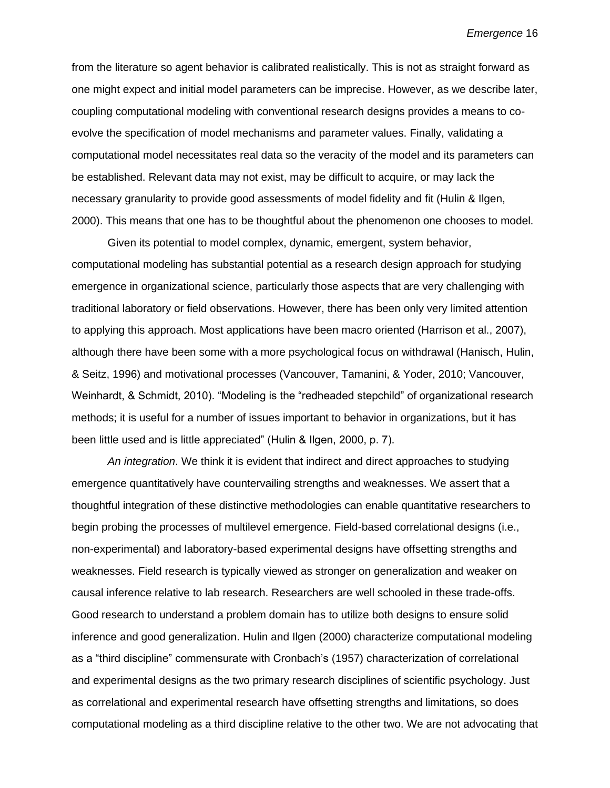from the literature so agent behavior is calibrated realistically. This is not as straight forward as one might expect and initial model parameters can be imprecise. However, as we describe later, coupling computational modeling with conventional research designs provides a means to coevolve the specification of model mechanisms and parameter values. Finally, validating a computational model necessitates real data so the veracity of the model and its parameters can be established. Relevant data may not exist, may be difficult to acquire, or may lack the necessary granularity to provide good assessments of model fidelity and fit (Hulin & Ilgen, 2000). This means that one has to be thoughtful about the phenomenon one chooses to model.

Given its potential to model complex, dynamic, emergent, system behavior, computational modeling has substantial potential as a research design approach for studying emergence in organizational science, particularly those aspects that are very challenging with traditional laboratory or field observations. However, there has been only very limited attention to applying this approach. Most applications have been macro oriented (Harrison et al., 2007), although there have been some with a more psychological focus on withdrawal (Hanisch, Hulin, & Seitz, 1996) and motivational processes (Vancouver, Tamanini, & Yoder, 2010; Vancouver, Weinhardt, & Schmidt, 2010). "Modeling is the "redheaded stepchild" of organizational research methods; it is useful for a number of issues important to behavior in organizations, but it has been little used and is little appreciated" (Hulin & Ilgen, 2000, p. 7).

*An integration*. We think it is evident that indirect and direct approaches to studying emergence quantitatively have countervailing strengths and weaknesses. We assert that a thoughtful integration of these distinctive methodologies can enable quantitative researchers to begin probing the processes of multilevel emergence. Field-based correlational designs (i.e., non-experimental) and laboratory-based experimental designs have offsetting strengths and weaknesses. Field research is typically viewed as stronger on generalization and weaker on causal inference relative to lab research. Researchers are well schooled in these trade-offs. Good research to understand a problem domain has to utilize both designs to ensure solid inference and good generalization. Hulin and Ilgen (2000) characterize computational modeling as a "third discipline" commensurate with Cronbach's (1957) characterization of correlational and experimental designs as the two primary research disciplines of scientific psychology. Just as correlational and experimental research have offsetting strengths and limitations, so does computational modeling as a third discipline relative to the other two. We are not advocating that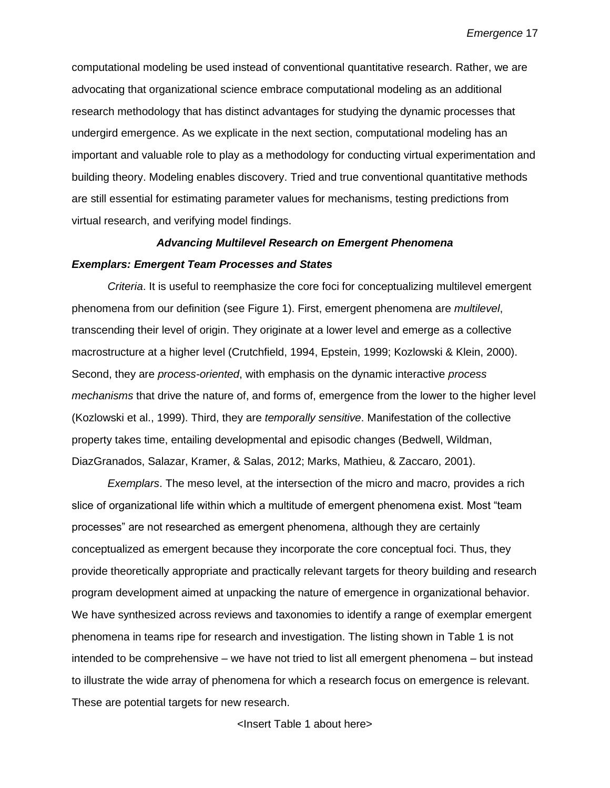computational modeling be used instead of conventional quantitative research. Rather, we are advocating that organizational science embrace computational modeling as an additional research methodology that has distinct advantages for studying the dynamic processes that undergird emergence. As we explicate in the next section, computational modeling has an important and valuable role to play as a methodology for conducting virtual experimentation and building theory. Modeling enables discovery. Tried and true conventional quantitative methods are still essential for estimating parameter values for mechanisms, testing predictions from virtual research, and verifying model findings.

# *Advancing Multilevel Research on Emergent Phenomena*

# *Exemplars: Emergent Team Processes and States*

*Criteria*. It is useful to reemphasize the core foci for conceptualizing multilevel emergent phenomena from our definition (see Figure 1). First, emergent phenomena are *multilevel*, transcending their level of origin. They originate at a lower level and emerge as a collective macrostructure at a higher level (Crutchfield, 1994, Epstein, 1999; Kozlowski & Klein, 2000). Second, they are *process-oriented*, with emphasis on the dynamic interactive *process mechanisms* that drive the nature of, and forms of, emergence from the lower to the higher level (Kozlowski et al., 1999). Third, they are *temporally sensitive*. Manifestation of the collective property takes time, entailing developmental and episodic changes (Bedwell, Wildman, DiazGranados, Salazar, Kramer, & Salas, 2012; Marks, Mathieu, & Zaccaro, 2001).

*Exemplars*. The meso level, at the intersection of the micro and macro, provides a rich slice of organizational life within which a multitude of emergent phenomena exist. Most "team processes" are not researched as emergent phenomena, although they are certainly conceptualized as emergent because they incorporate the core conceptual foci. Thus, they provide theoretically appropriate and practically relevant targets for theory building and research program development aimed at unpacking the nature of emergence in organizational behavior. We have synthesized across reviews and taxonomies to identify a range of exemplar emergent phenomena in teams ripe for research and investigation. The listing shown in Table 1 is not intended to be comprehensive – we have not tried to list all emergent phenomena – but instead to illustrate the wide array of phenomena for which a research focus on emergence is relevant. These are potential targets for new research.

<Insert Table 1 about here>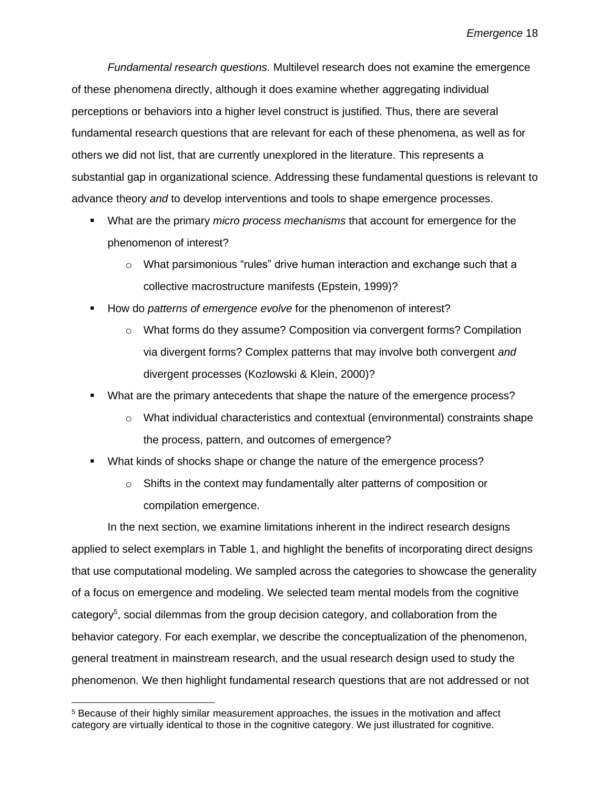*Fundamental research questions.* Multilevel research does not examine the emergence of these phenomena directly, although it does examine whether aggregating individual perceptions or behaviors into a higher level construct is justified. Thus, there are several fundamental research questions that are relevant for each of these phenomena, as well as for others we did not list, that are currently unexplored in the literature. This represents a substantial gap in organizational science. Addressing these fundamental questions is relevant to advance theory *and* to develop interventions and tools to shape emergence processes.

- What are the primary *micro process mechanisms* that account for emergence for the phenomenon of interest?
	- $\circ$  What parsimonious "rules" drive human interaction and exchange such that a collective macrostructure manifests (Epstein, 1999)?
- How do *patterns of emergence evolve* for the phenomenon of interest?
	- $\circ$  What forms do they assume? Composition via convergent forms? Compilation via divergent forms? Complex patterns that may involve both convergent *and* divergent processes (Kozlowski & Klein, 2000)?
- What are the primary antecedents that shape the nature of the emergence process?
	- $\circ$  What individual characteristics and contextual (environmental) constraints shape the process, pattern, and outcomes of emergence?
- What kinds of shocks shape or change the nature of the emergence process?
	- o Shifts in the context may fundamentally alter patterns of composition or compilation emergence.

In the next section, we examine limitations inherent in the indirect research designs applied to select exemplars in Table 1, and highlight the benefits of incorporating direct designs that use computational modeling. We sampled across the categories to showcase the generality of a focus on emergence and modeling. We selected team mental models from the cognitive category<sup>5</sup>, social dilemmas from the group decision category, and collaboration from the behavior category. For each exemplar, we describe the conceptualization of the phenomenon, general treatment in mainstream research, and the usual research design used to study the phenomenon. We then highlight fundamental research questions that are not addressed or not

<sup>5</sup> Because of their highly similar measurement approaches, the issues in the motivation and affect category are virtually identical to those in the cognitive category. We just illustrated for cognitive.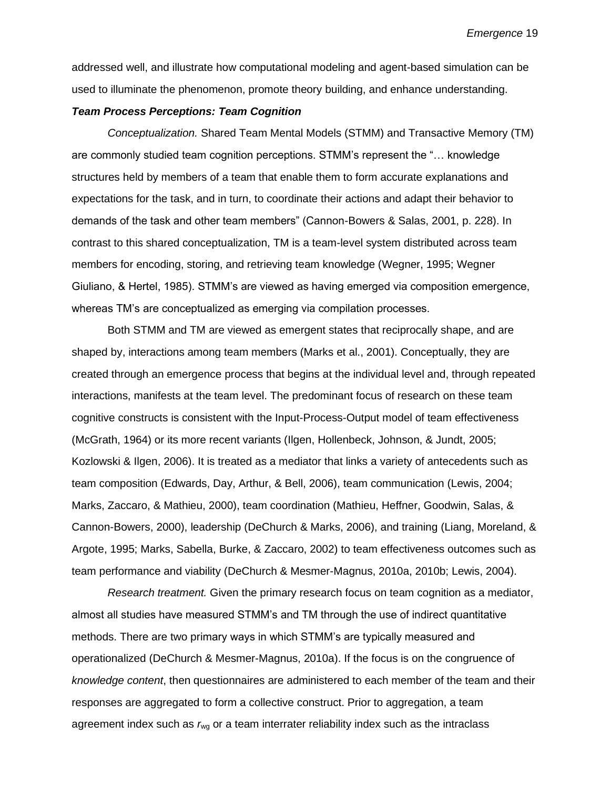addressed well, and illustrate how computational modeling and agent-based simulation can be used to illuminate the phenomenon, promote theory building, and enhance understanding.

## *Team Process Perceptions: Team Cognition*

*Conceptualization.* Shared Team Mental Models (STMM) and Transactive Memory (TM) are commonly studied team cognition perceptions. STMM's represent the "… knowledge structures held by members of a team that enable them to form accurate explanations and expectations for the task, and in turn, to coordinate their actions and adapt their behavior to demands of the task and other team members" (Cannon-Bowers & Salas, 2001, p. 228). In contrast to this shared conceptualization, TM is a team-level system distributed across team members for encoding, storing, and retrieving team knowledge (Wegner, 1995; Wegner Giuliano, & Hertel, 1985). STMM's are viewed as having emerged via composition emergence, whereas TM's are conceptualized as emerging via compilation processes.

Both STMM and TM are viewed as emergent states that reciprocally shape, and are shaped by, interactions among team members (Marks et al., 2001). Conceptually, they are created through an emergence process that begins at the individual level and, through repeated interactions, manifests at the team level. The predominant focus of research on these team cognitive constructs is consistent with the Input-Process-Output model of team effectiveness (McGrath, 1964) or its more recent variants (Ilgen, Hollenbeck, Johnson, & Jundt, 2005; Kozlowski & Ilgen, 2006). It is treated as a mediator that links a variety of antecedents such as team composition (Edwards, Day, Arthur, & Bell, 2006), team communication (Lewis, 2004; Marks, Zaccaro, & Mathieu, 2000), team coordination (Mathieu, Heffner, Goodwin, Salas, & Cannon-Bowers, 2000), leadership (DeChurch & Marks, 2006), and training (Liang, Moreland, & Argote, 1995; Marks, Sabella, Burke, & Zaccaro, 2002) to team effectiveness outcomes such as team performance and viability (DeChurch & Mesmer-Magnus, 2010a, 2010b; Lewis, 2004).

*Research treatment.* Given the primary research focus on team cognition as a mediator, almost all studies have measured STMM's and TM through the use of indirect quantitative methods. There are two primary ways in which STMM's are typically measured and operationalized (DeChurch & Mesmer-Magnus, 2010a). If the focus is on the congruence of *knowledge content*, then questionnaires are administered to each member of the team and their responses are aggregated to form a collective construct. Prior to aggregation, a team agreement index such as *r*wg or a team interrater reliability index such as the intraclass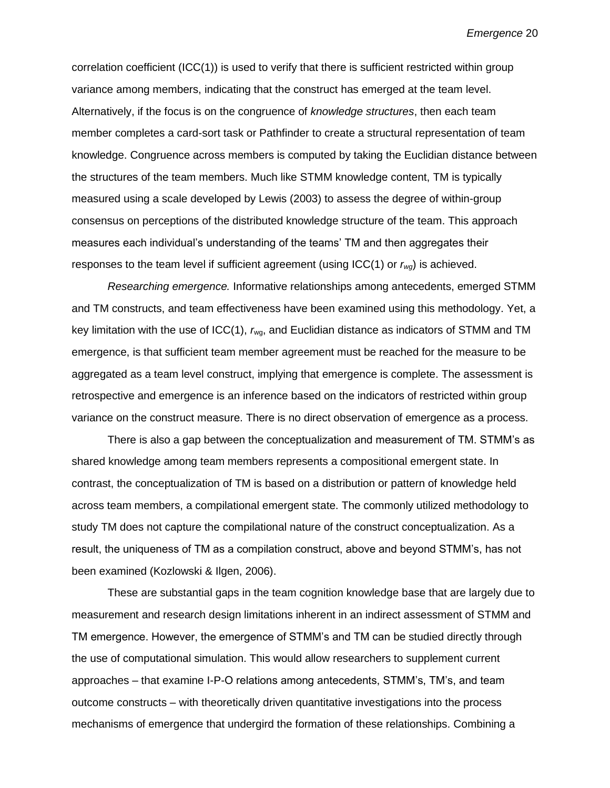correlation coefficient (ICC(1)) is used to verify that there is sufficient restricted within group variance among members, indicating that the construct has emerged at the team level. Alternatively, if the focus is on the congruence of *knowledge structures*, then each team member completes a card-sort task or Pathfinder to create a structural representation of team knowledge. Congruence across members is computed by taking the Euclidian distance between the structures of the team members. Much like STMM knowledge content, TM is typically measured using a scale developed by Lewis (2003) to assess the degree of within-group consensus on perceptions of the distributed knowledge structure of the team. This approach measures each individual's understanding of the teams' TM and then aggregates their responses to the team level if sufficient agreement (using ICC(1) or *rwg*) is achieved.

*Researching emergence.* Informative relationships among antecedents, emerged STMM and TM constructs, and team effectiveness have been examined using this methodology. Yet, a key limitation with the use of ICC(1), *r*wg, and Euclidian distance as indicators of STMM and TM emergence, is that sufficient team member agreement must be reached for the measure to be aggregated as a team level construct, implying that emergence is complete. The assessment is retrospective and emergence is an inference based on the indicators of restricted within group variance on the construct measure. There is no direct observation of emergence as a process.

There is also a gap between the conceptualization and measurement of TM. STMM's as shared knowledge among team members represents a compositional emergent state. In contrast, the conceptualization of TM is based on a distribution or pattern of knowledge held across team members, a compilational emergent state. The commonly utilized methodology to study TM does not capture the compilational nature of the construct conceptualization. As a result, the uniqueness of TM as a compilation construct, above and beyond STMM's, has not been examined (Kozlowski & Ilgen, 2006).

These are substantial gaps in the team cognition knowledge base that are largely due to measurement and research design limitations inherent in an indirect assessment of STMM and TM emergence. However, the emergence of STMM's and TM can be studied directly through the use of computational simulation. This would allow researchers to supplement current approaches – that examine I-P-O relations among antecedents, STMM's, TM's, and team outcome constructs – with theoretically driven quantitative investigations into the process mechanisms of emergence that undergird the formation of these relationships. Combining a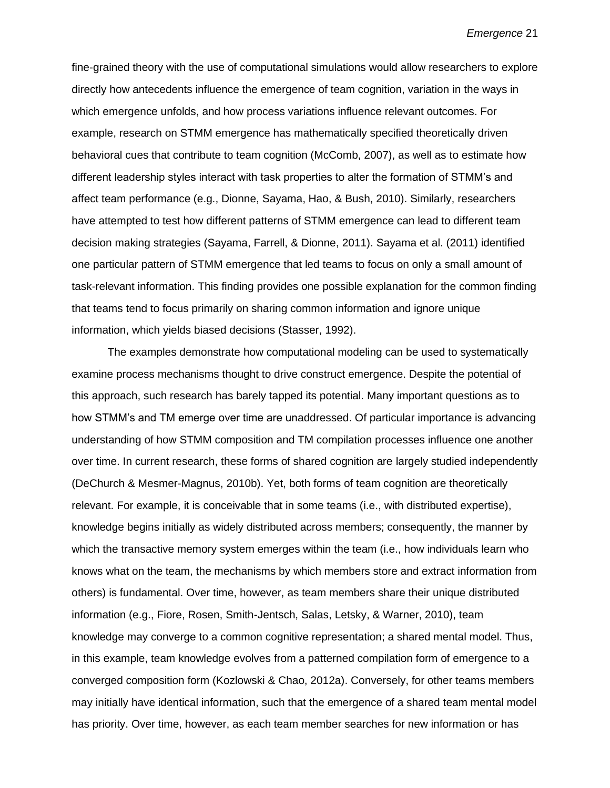fine-grained theory with the use of computational simulations would allow researchers to explore directly how antecedents influence the emergence of team cognition, variation in the ways in which emergence unfolds, and how process variations influence relevant outcomes. For example, research on STMM emergence has mathematically specified theoretically driven behavioral cues that contribute to team cognition (McComb, 2007), as well as to estimate how different leadership styles interact with task properties to alter the formation of STMM's and affect team performance (e.g., Dionne, Sayama, Hao, & Bush, 2010). Similarly, researchers have attempted to test how different patterns of STMM emergence can lead to different team decision making strategies (Sayama, Farrell, & Dionne, 2011). Sayama et al. (2011) identified one particular pattern of STMM emergence that led teams to focus on only a small amount of task-relevant information. This finding provides one possible explanation for the common finding that teams tend to focus primarily on sharing common information and ignore unique information, which yields biased decisions (Stasser, 1992).

The examples demonstrate how computational modeling can be used to systematically examine process mechanisms thought to drive construct emergence. Despite the potential of this approach, such research has barely tapped its potential. Many important questions as to how STMM's and TM emerge over time are unaddressed. Of particular importance is advancing understanding of how STMM composition and TM compilation processes influence one another over time. In current research, these forms of shared cognition are largely studied independently (DeChurch & Mesmer-Magnus, 2010b). Yet, both forms of team cognition are theoretically relevant. For example, it is conceivable that in some teams (i.e., with distributed expertise), knowledge begins initially as widely distributed across members; consequently, the manner by which the transactive memory system emerges within the team (i.e., how individuals learn who knows what on the team, the mechanisms by which members store and extract information from others) is fundamental. Over time, however, as team members share their unique distributed information (e.g., Fiore, Rosen, Smith-Jentsch, Salas, Letsky, & Warner, 2010), team knowledge may converge to a common cognitive representation; a shared mental model. Thus, in this example, team knowledge evolves from a patterned compilation form of emergence to a converged composition form (Kozlowski & Chao, 2012a). Conversely, for other teams members may initially have identical information, such that the emergence of a shared team mental model has priority. Over time, however, as each team member searches for new information or has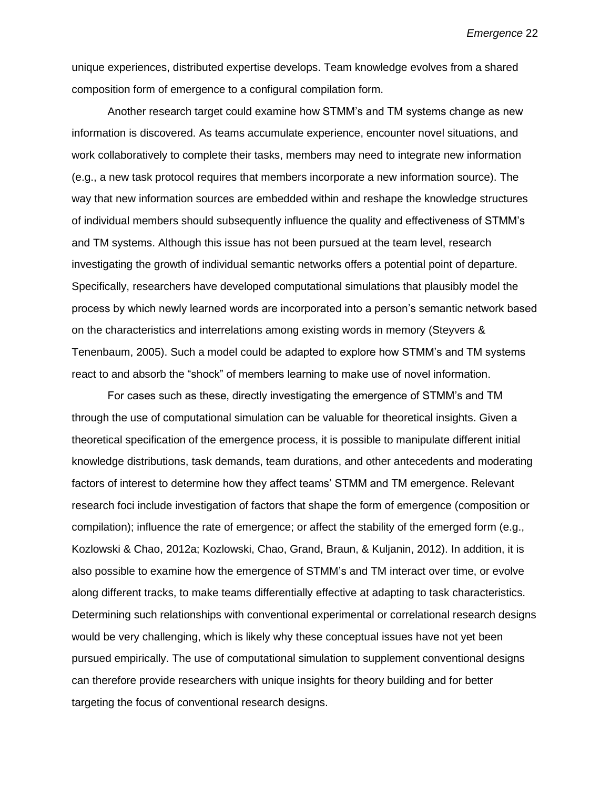unique experiences, distributed expertise develops. Team knowledge evolves from a shared composition form of emergence to a configural compilation form.

Another research target could examine how STMM's and TM systems change as new information is discovered. As teams accumulate experience, encounter novel situations, and work collaboratively to complete their tasks, members may need to integrate new information (e.g., a new task protocol requires that members incorporate a new information source). The way that new information sources are embedded within and reshape the knowledge structures of individual members should subsequently influence the quality and effectiveness of STMM's and TM systems. Although this issue has not been pursued at the team level, research investigating the growth of individual semantic networks offers a potential point of departure. Specifically, researchers have developed computational simulations that plausibly model the process by which newly learned words are incorporated into a person's semantic network based on the characteristics and interrelations among existing words in memory (Steyvers & Tenenbaum, 2005). Such a model could be adapted to explore how STMM's and TM systems react to and absorb the "shock" of members learning to make use of novel information.

For cases such as these, directly investigating the emergence of STMM's and TM through the use of computational simulation can be valuable for theoretical insights. Given a theoretical specification of the emergence process, it is possible to manipulate different initial knowledge distributions, task demands, team durations, and other antecedents and moderating factors of interest to determine how they affect teams' STMM and TM emergence. Relevant research foci include investigation of factors that shape the form of emergence (composition or compilation); influence the rate of emergence; or affect the stability of the emerged form (e.g., Kozlowski & Chao, 2012a; Kozlowski, Chao, Grand, Braun, & Kuljanin, 2012). In addition, it is also possible to examine how the emergence of STMM's and TM interact over time, or evolve along different tracks, to make teams differentially effective at adapting to task characteristics. Determining such relationships with conventional experimental or correlational research designs would be very challenging, which is likely why these conceptual issues have not yet been pursued empirically. The use of computational simulation to supplement conventional designs can therefore provide researchers with unique insights for theory building and for better targeting the focus of conventional research designs.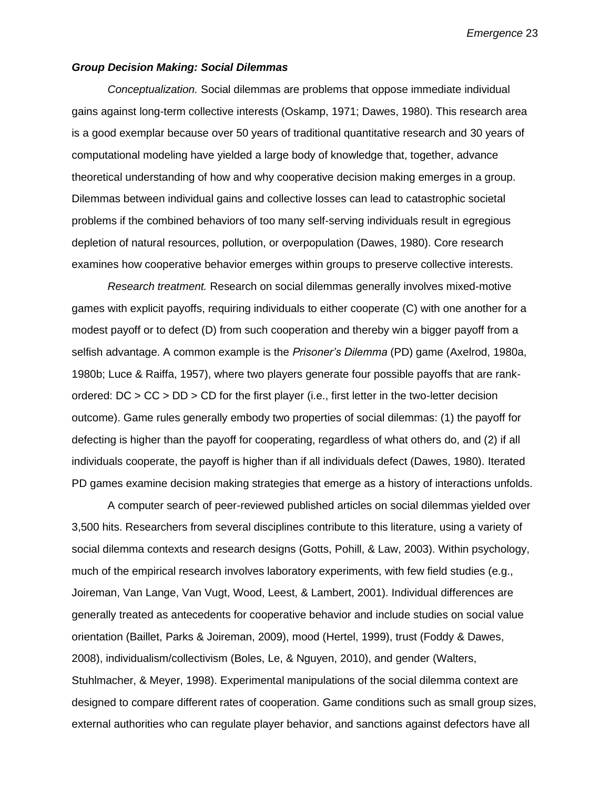## *Group Decision Making: Social Dilemmas*

*Conceptualization.* Social dilemmas are problems that oppose immediate individual gains against long-term collective interests (Oskamp, 1971; Dawes, 1980). This research area is a good exemplar because over 50 years of traditional quantitative research and 30 years of computational modeling have yielded a large body of knowledge that, together, advance theoretical understanding of how and why cooperative decision making emerges in a group. Dilemmas between individual gains and collective losses can lead to catastrophic societal problems if the combined behaviors of too many self-serving individuals result in egregious depletion of natural resources, pollution, or overpopulation (Dawes, 1980). Core research examines how cooperative behavior emerges within groups to preserve collective interests.

*Research treatment.* Research on social dilemmas generally involves mixed-motive games with explicit payoffs, requiring individuals to either cooperate (C) with one another for a modest payoff or to defect (D) from such cooperation and thereby win a bigger payoff from a selfish advantage. A common example is the *Prisoner's Dilemma* (PD) game (Axelrod, 1980a, 1980b; Luce & Raiffa, 1957), where two players generate four possible payoffs that are rankordered: DC > CC > DD > CD for the first player (i.e., first letter in the two-letter decision outcome). Game rules generally embody two properties of social dilemmas: (1) the payoff for defecting is higher than the payoff for cooperating, regardless of what others do, and (2) if all individuals cooperate, the payoff is higher than if all individuals defect (Dawes, 1980). Iterated PD games examine decision making strategies that emerge as a history of interactions unfolds.

A computer search of peer-reviewed published articles on social dilemmas yielded over 3,500 hits. Researchers from several disciplines contribute to this literature, using a variety of social dilemma contexts and research designs (Gotts, Pohill, & Law, 2003). Within psychology, much of the empirical research involves laboratory experiments, with few field studies (e.g., Joireman, Van Lange, Van Vugt, Wood, Leest, & Lambert, 2001). Individual differences are generally treated as antecedents for cooperative behavior and include studies on social value orientation (Baillet, Parks & Joireman, 2009), mood (Hertel, 1999), trust (Foddy & Dawes, 2008), individualism/collectivism (Boles, Le, & Nguyen, 2010), and gender (Walters, Stuhlmacher, & Meyer, 1998). Experimental manipulations of the social dilemma context are designed to compare different rates of cooperation. Game conditions such as small group sizes, external authorities who can regulate player behavior, and sanctions against defectors have all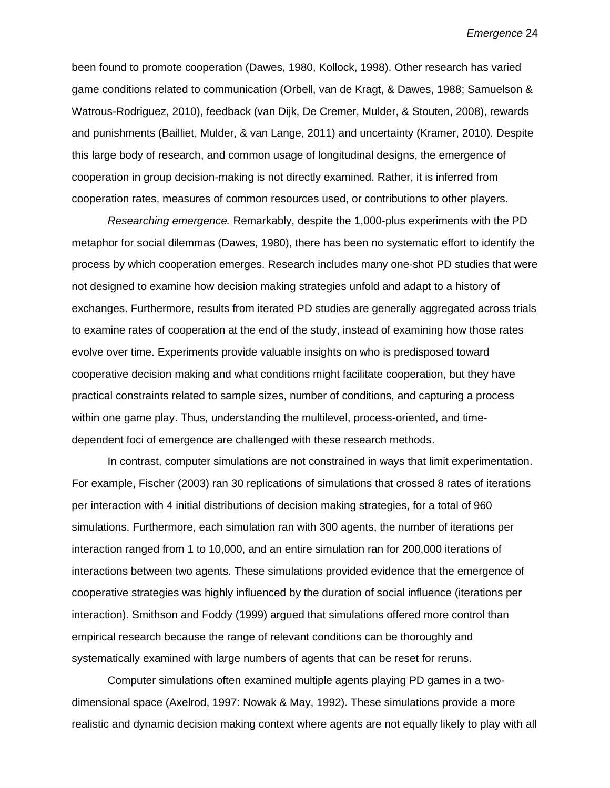been found to promote cooperation (Dawes, 1980, Kollock, 1998). Other research has varied game conditions related to communication (Orbell, van de Kragt, & Dawes, 1988; Samuelson & Watrous-Rodriguez, 2010), feedback (van Dijk, De Cremer, Mulder, & Stouten, 2008), rewards and punishments (Bailliet, Mulder, & van Lange, 2011) and uncertainty (Kramer, 2010). Despite this large body of research, and common usage of longitudinal designs, the emergence of cooperation in group decision-making is not directly examined. Rather, it is inferred from cooperation rates, measures of common resources used, or contributions to other players.

*Researching emergence.* Remarkably, despite the 1,000-plus experiments with the PD metaphor for social dilemmas (Dawes, 1980), there has been no systematic effort to identify the process by which cooperation emerges. Research includes many one-shot PD studies that were not designed to examine how decision making strategies unfold and adapt to a history of exchanges. Furthermore, results from iterated PD studies are generally aggregated across trials to examine rates of cooperation at the end of the study, instead of examining how those rates evolve over time. Experiments provide valuable insights on who is predisposed toward cooperative decision making and what conditions might facilitate cooperation, but they have practical constraints related to sample sizes, number of conditions, and capturing a process within one game play. Thus, understanding the multilevel, process-oriented, and timedependent foci of emergence are challenged with these research methods.

In contrast, computer simulations are not constrained in ways that limit experimentation. For example, Fischer (2003) ran 30 replications of simulations that crossed 8 rates of iterations per interaction with 4 initial distributions of decision making strategies, for a total of 960 simulations. Furthermore, each simulation ran with 300 agents, the number of iterations per interaction ranged from 1 to 10,000, and an entire simulation ran for 200,000 iterations of interactions between two agents. These simulations provided evidence that the emergence of cooperative strategies was highly influenced by the duration of social influence (iterations per interaction). Smithson and Foddy (1999) argued that simulations offered more control than empirical research because the range of relevant conditions can be thoroughly and systematically examined with large numbers of agents that can be reset for reruns.

Computer simulations often examined multiple agents playing PD games in a twodimensional space (Axelrod, 1997: Nowak & May, 1992). These simulations provide a more realistic and dynamic decision making context where agents are not equally likely to play with all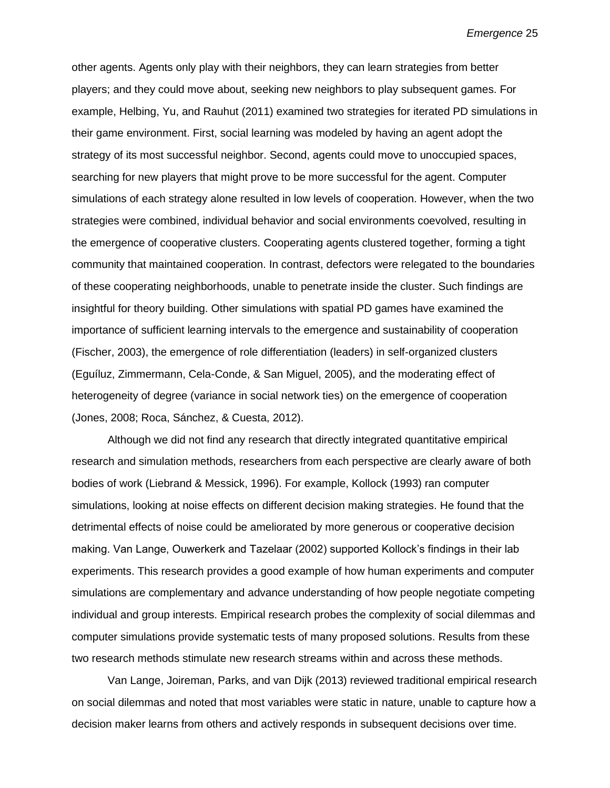other agents. Agents only play with their neighbors, they can learn strategies from better players; and they could move about, seeking new neighbors to play subsequent games. For example, Helbing, Yu, and Rauhut (2011) examined two strategies for iterated PD simulations in their game environment. First, social learning was modeled by having an agent adopt the strategy of its most successful neighbor. Second, agents could move to unoccupied spaces, searching for new players that might prove to be more successful for the agent. Computer simulations of each strategy alone resulted in low levels of cooperation. However, when the two strategies were combined, individual behavior and social environments coevolved, resulting in the emergence of cooperative clusters. Cooperating agents clustered together, forming a tight community that maintained cooperation. In contrast, defectors were relegated to the boundaries of these cooperating neighborhoods, unable to penetrate inside the cluster. Such findings are insightful for theory building. Other simulations with spatial PD games have examined the importance of sufficient learning intervals to the emergence and sustainability of cooperation (Fischer, 2003), the emergence of role differentiation (leaders) in self-organized clusters (Eguíluz, Zimmermann, Cela-Conde, & San Miguel, 2005), and the moderating effect of heterogeneity of degree (variance in social network ties) on the emergence of cooperation (Jones, 2008; Roca, Sánchez, & Cuesta, 2012).

Although we did not find any research that directly integrated quantitative empirical research and simulation methods, researchers from each perspective are clearly aware of both bodies of work (Liebrand & Messick, 1996). For example, Kollock (1993) ran computer simulations, looking at noise effects on different decision making strategies. He found that the detrimental effects of noise could be ameliorated by more generous or cooperative decision making. Van Lange, Ouwerkerk and Tazelaar (2002) supported Kollock's findings in their lab experiments. This research provides a good example of how human experiments and computer simulations are complementary and advance understanding of how people negotiate competing individual and group interests. Empirical research probes the complexity of social dilemmas and computer simulations provide systematic tests of many proposed solutions. Results from these two research methods stimulate new research streams within and across these methods.

Van Lange, Joireman, Parks, and van Dijk (2013) reviewed traditional empirical research on social dilemmas and noted that most variables were static in nature, unable to capture how a decision maker learns from others and actively responds in subsequent decisions over time.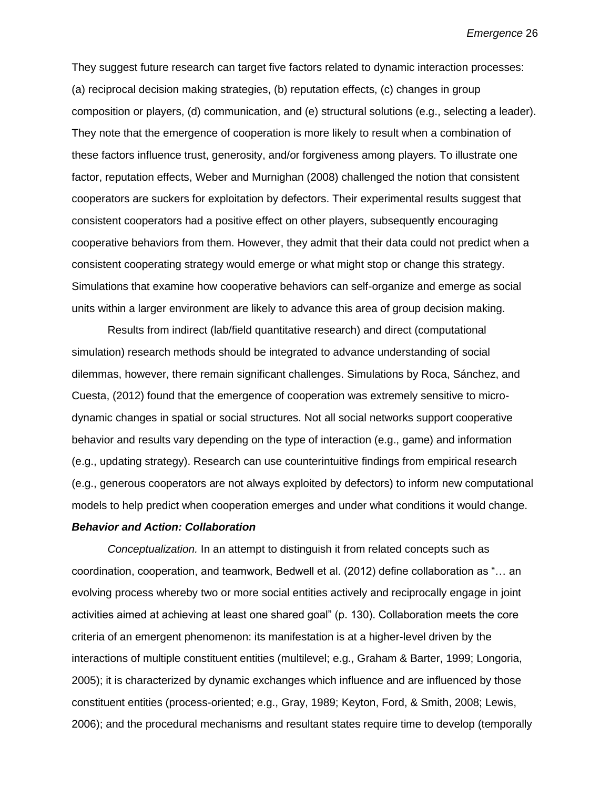They suggest future research can target five factors related to dynamic interaction processes: (a) reciprocal decision making strategies, (b) reputation effects, (c) changes in group composition or players, (d) communication, and (e) structural solutions (e.g., selecting a leader). They note that the emergence of cooperation is more likely to result when a combination of these factors influence trust, generosity, and/or forgiveness among players. To illustrate one factor, reputation effects, Weber and Murnighan (2008) challenged the notion that consistent cooperators are suckers for exploitation by defectors. Their experimental results suggest that consistent cooperators had a positive effect on other players, subsequently encouraging cooperative behaviors from them. However, they admit that their data could not predict when a consistent cooperating strategy would emerge or what might stop or change this strategy. Simulations that examine how cooperative behaviors can self-organize and emerge as social units within a larger environment are likely to advance this area of group decision making.

Results from indirect (lab/field quantitative research) and direct (computational simulation) research methods should be integrated to advance understanding of social dilemmas, however, there remain significant challenges. Simulations by Roca, Sánchez, and Cuesta, (2012) found that the emergence of cooperation was extremely sensitive to microdynamic changes in spatial or social structures. Not all social networks support cooperative behavior and results vary depending on the type of interaction (e.g., game) and information (e.g., updating strategy). Research can use counterintuitive findings from empirical research (e.g., generous cooperators are not always exploited by defectors) to inform new computational models to help predict when cooperation emerges and under what conditions it would change.

# *Behavior and Action: Collaboration*

*Conceptualization.* In an attempt to distinguish it from related concepts such as coordination, cooperation, and teamwork, Bedwell et al. (2012) define collaboration as "… an evolving process whereby two or more social entities actively and reciprocally engage in joint activities aimed at achieving at least one shared goal" (p. 130). Collaboration meets the core criteria of an emergent phenomenon: its manifestation is at a higher-level driven by the interactions of multiple constituent entities (multilevel; e.g., Graham & Barter, 1999; Longoria, 2005); it is characterized by dynamic exchanges which influence and are influenced by those constituent entities (process-oriented; e.g., Gray, 1989; Keyton, Ford, & Smith, 2008; Lewis, 2006); and the procedural mechanisms and resultant states require time to develop (temporally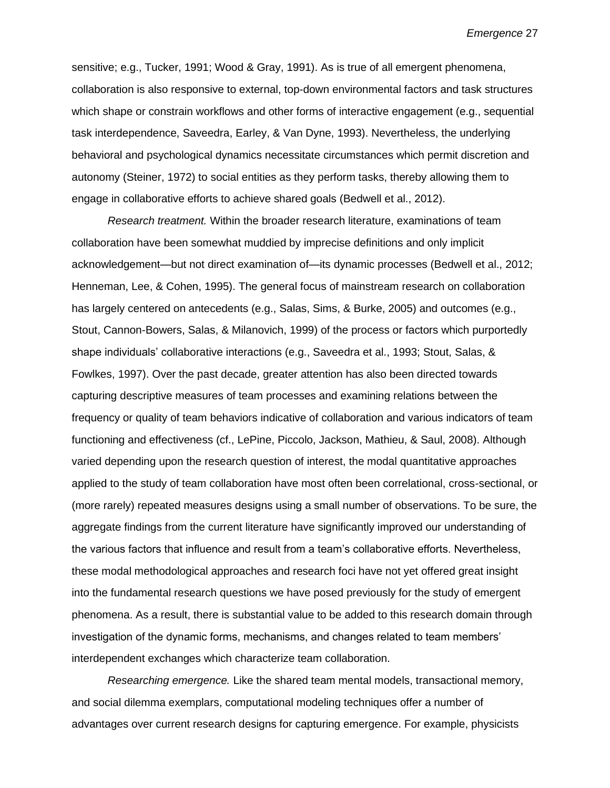sensitive; e.g., Tucker, 1991; Wood & Gray, 1991). As is true of all emergent phenomena, collaboration is also responsive to external, top-down environmental factors and task structures which shape or constrain workflows and other forms of interactive engagement (e.g., sequential task interdependence, Saveedra, Earley, & Van Dyne, 1993). Nevertheless, the underlying behavioral and psychological dynamics necessitate circumstances which permit discretion and autonomy (Steiner, 1972) to social entities as they perform tasks, thereby allowing them to engage in collaborative efforts to achieve shared goals (Bedwell et al., 2012).

*Research treatment.* Within the broader research literature, examinations of team collaboration have been somewhat muddied by imprecise definitions and only implicit acknowledgement—but not direct examination of—its dynamic processes (Bedwell et al., 2012; Henneman, Lee, & Cohen, 1995). The general focus of mainstream research on collaboration has largely centered on antecedents (e.g., Salas, Sims, & Burke, 2005) and outcomes (e.g., Stout, Cannon-Bowers, Salas, & Milanovich, 1999) of the process or factors which purportedly shape individuals' collaborative interactions (e.g., Saveedra et al., 1993; Stout, Salas, & Fowlkes, 1997). Over the past decade, greater attention has also been directed towards capturing descriptive measures of team processes and examining relations between the frequency or quality of team behaviors indicative of collaboration and various indicators of team functioning and effectiveness (cf., LePine, Piccolo, Jackson, Mathieu, & Saul, 2008). Although varied depending upon the research question of interest, the modal quantitative approaches applied to the study of team collaboration have most often been correlational, cross-sectional, or (more rarely) repeated measures designs using a small number of observations. To be sure, the aggregate findings from the current literature have significantly improved our understanding of the various factors that influence and result from a team's collaborative efforts. Nevertheless, these modal methodological approaches and research foci have not yet offered great insight into the fundamental research questions we have posed previously for the study of emergent phenomena. As a result, there is substantial value to be added to this research domain through investigation of the dynamic forms, mechanisms, and changes related to team members' interdependent exchanges which characterize team collaboration.

*Researching emergence.* Like the shared team mental models, transactional memory, and social dilemma exemplars, computational modeling techniques offer a number of advantages over current research designs for capturing emergence. For example, physicists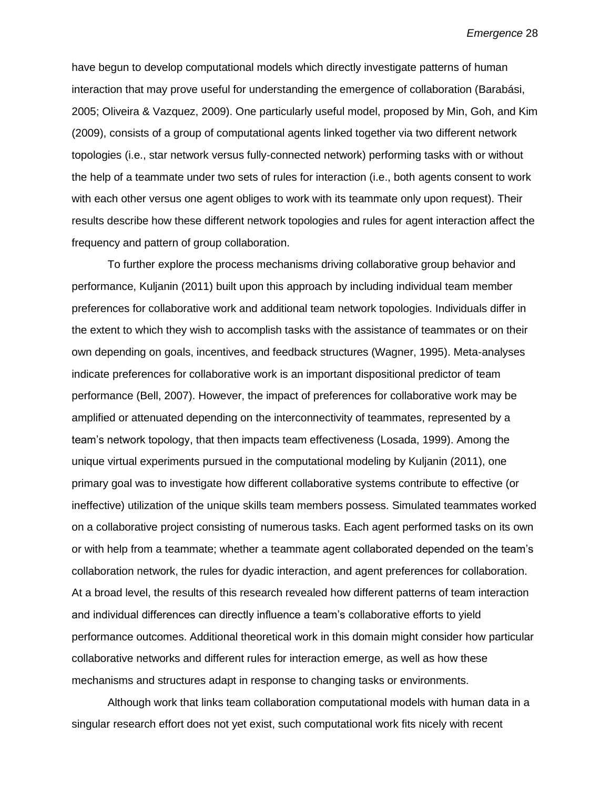have begun to develop computational models which directly investigate patterns of human interaction that may prove useful for understanding the emergence of collaboration (Barabási, 2005; Oliveira & Vazquez, 2009). One particularly useful model, proposed by Min, Goh, and Kim (2009), consists of a group of computational agents linked together via two different network topologies (i.e., star network versus fully-connected network) performing tasks with or without the help of a teammate under two sets of rules for interaction (i.e., both agents consent to work with each other versus one agent obliges to work with its teammate only upon request). Their results describe how these different network topologies and rules for agent interaction affect the frequency and pattern of group collaboration.

To further explore the process mechanisms driving collaborative group behavior and performance, Kuljanin (2011) built upon this approach by including individual team member preferences for collaborative work and additional team network topologies. Individuals differ in the extent to which they wish to accomplish tasks with the assistance of teammates or on their own depending on goals, incentives, and feedback structures (Wagner, 1995). Meta-analyses indicate preferences for collaborative work is an important dispositional predictor of team performance (Bell, 2007). However, the impact of preferences for collaborative work may be amplified or attenuated depending on the interconnectivity of teammates, represented by a team's network topology, that then impacts team effectiveness (Losada, 1999). Among the unique virtual experiments pursued in the computational modeling by Kuljanin (2011), one primary goal was to investigate how different collaborative systems contribute to effective (or ineffective) utilization of the unique skills team members possess. Simulated teammates worked on a collaborative project consisting of numerous tasks. Each agent performed tasks on its own or with help from a teammate; whether a teammate agent collaborated depended on the team's collaboration network, the rules for dyadic interaction, and agent preferences for collaboration. At a broad level, the results of this research revealed how different patterns of team interaction and individual differences can directly influence a team's collaborative efforts to yield performance outcomes. Additional theoretical work in this domain might consider how particular collaborative networks and different rules for interaction emerge, as well as how these mechanisms and structures adapt in response to changing tasks or environments.

Although work that links team collaboration computational models with human data in a singular research effort does not yet exist, such computational work fits nicely with recent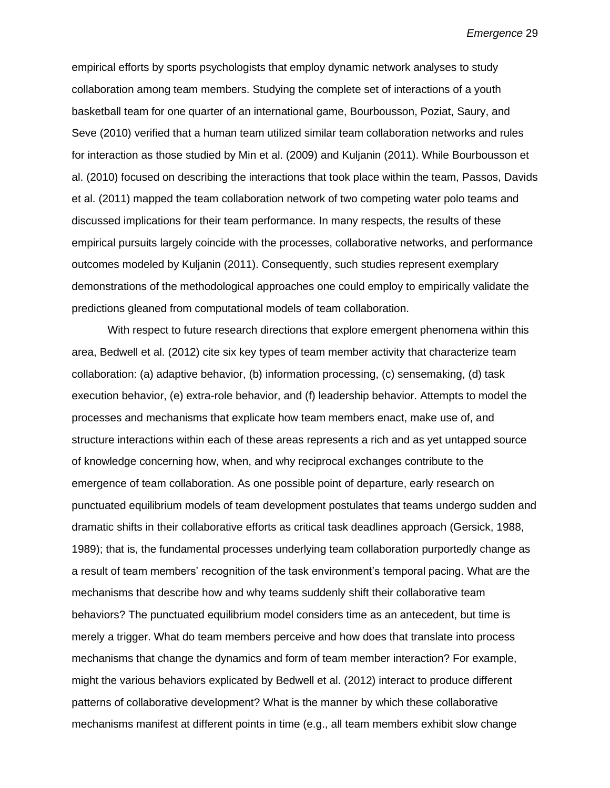empirical efforts by sports psychologists that employ dynamic network analyses to study collaboration among team members. Studying the complete set of interactions of a youth basketball team for one quarter of an international game, Bourbousson, Poziat, Saury, and Seve (2010) verified that a human team utilized similar team collaboration networks and rules for interaction as those studied by Min et al. (2009) and Kuljanin (2011). While Bourbousson et al. (2010) focused on describing the interactions that took place within the team, Passos, Davids et al. (2011) mapped the team collaboration network of two competing water polo teams and discussed implications for their team performance. In many respects, the results of these empirical pursuits largely coincide with the processes, collaborative networks, and performance outcomes modeled by Kuljanin (2011). Consequently, such studies represent exemplary demonstrations of the methodological approaches one could employ to empirically validate the predictions gleaned from computational models of team collaboration.

With respect to future research directions that explore emergent phenomena within this area, Bedwell et al. (2012) cite six key types of team member activity that characterize team collaboration: (a) adaptive behavior, (b) information processing, (c) sensemaking, (d) task execution behavior, (e) extra-role behavior, and (f) leadership behavior. Attempts to model the processes and mechanisms that explicate how team members enact, make use of, and structure interactions within each of these areas represents a rich and as yet untapped source of knowledge concerning how, when, and why reciprocal exchanges contribute to the emergence of team collaboration. As one possible point of departure, early research on punctuated equilibrium models of team development postulates that teams undergo sudden and dramatic shifts in their collaborative efforts as critical task deadlines approach (Gersick, 1988, 1989); that is, the fundamental processes underlying team collaboration purportedly change as a result of team members' recognition of the task environment's temporal pacing. What are the mechanisms that describe how and why teams suddenly shift their collaborative team behaviors? The punctuated equilibrium model considers time as an antecedent, but time is merely a trigger. What do team members perceive and how does that translate into process mechanisms that change the dynamics and form of team member interaction? For example, might the various behaviors explicated by Bedwell et al. (2012) interact to produce different patterns of collaborative development? What is the manner by which these collaborative mechanisms manifest at different points in time (e.g., all team members exhibit slow change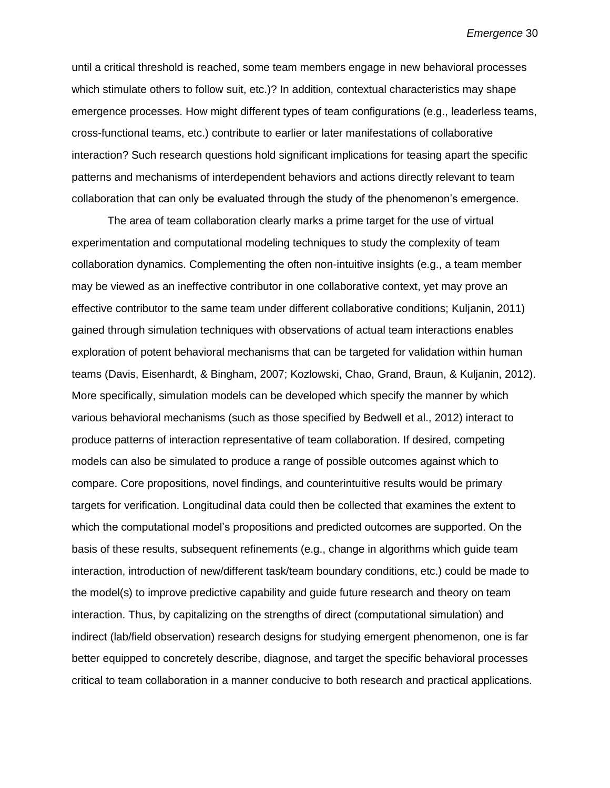until a critical threshold is reached, some team members engage in new behavioral processes which stimulate others to follow suit, etc.)? In addition, contextual characteristics may shape emergence processes. How might different types of team configurations (e.g., leaderless teams, cross-functional teams, etc.) contribute to earlier or later manifestations of collaborative interaction? Such research questions hold significant implications for teasing apart the specific patterns and mechanisms of interdependent behaviors and actions directly relevant to team collaboration that can only be evaluated through the study of the phenomenon's emergence.

The area of team collaboration clearly marks a prime target for the use of virtual experimentation and computational modeling techniques to study the complexity of team collaboration dynamics. Complementing the often non-intuitive insights (e.g., a team member may be viewed as an ineffective contributor in one collaborative context, yet may prove an effective contributor to the same team under different collaborative conditions; Kuljanin, 2011) gained through simulation techniques with observations of actual team interactions enables exploration of potent behavioral mechanisms that can be targeted for validation within human teams (Davis, Eisenhardt, & Bingham, 2007; Kozlowski, Chao, Grand, Braun, & Kuljanin, 2012). More specifically, simulation models can be developed which specify the manner by which various behavioral mechanisms (such as those specified by Bedwell et al., 2012) interact to produce patterns of interaction representative of team collaboration. If desired, competing models can also be simulated to produce a range of possible outcomes against which to compare. Core propositions, novel findings, and counterintuitive results would be primary targets for verification. Longitudinal data could then be collected that examines the extent to which the computational model's propositions and predicted outcomes are supported. On the basis of these results, subsequent refinements (e.g., change in algorithms which guide team interaction, introduction of new/different task/team boundary conditions, etc.) could be made to the model(s) to improve predictive capability and guide future research and theory on team interaction. Thus, by capitalizing on the strengths of direct (computational simulation) and indirect (lab/field observation) research designs for studying emergent phenomenon, one is far better equipped to concretely describe, diagnose, and target the specific behavioral processes critical to team collaboration in a manner conducive to both research and practical applications.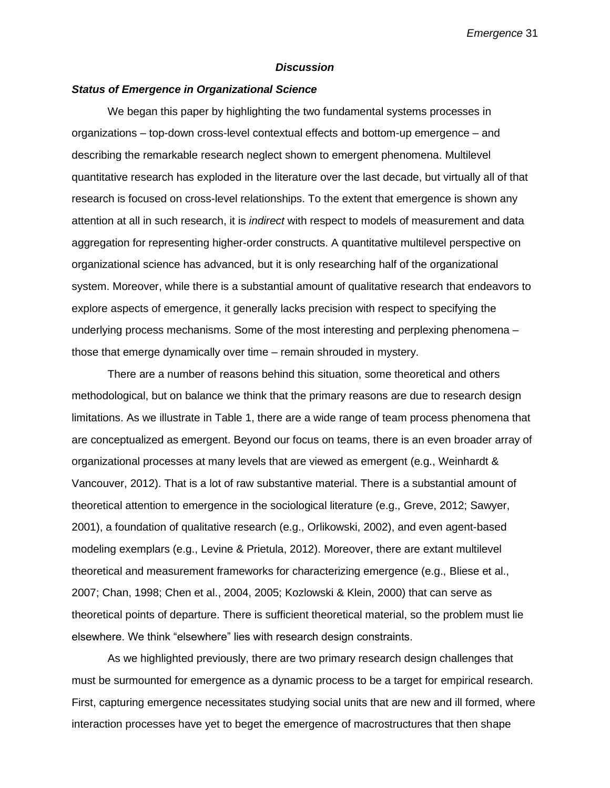## *Discussion*

#### *Status of Emergence in Organizational Science*

We began this paper by highlighting the two fundamental systems processes in organizations – top-down cross-level contextual effects and bottom-up emergence – and describing the remarkable research neglect shown to emergent phenomena. Multilevel quantitative research has exploded in the literature over the last decade, but virtually all of that research is focused on cross-level relationships. To the extent that emergence is shown any attention at all in such research, it is *indirect* with respect to models of measurement and data aggregation for representing higher-order constructs. A quantitative multilevel perspective on organizational science has advanced, but it is only researching half of the organizational system. Moreover, while there is a substantial amount of qualitative research that endeavors to explore aspects of emergence, it generally lacks precision with respect to specifying the underlying process mechanisms. Some of the most interesting and perplexing phenomena – those that emerge dynamically over time – remain shrouded in mystery.

There are a number of reasons behind this situation, some theoretical and others methodological, but on balance we think that the primary reasons are due to research design limitations. As we illustrate in Table 1, there are a wide range of team process phenomena that are conceptualized as emergent. Beyond our focus on teams, there is an even broader array of organizational processes at many levels that are viewed as emergent (e.g., Weinhardt & Vancouver, 2012). That is a lot of raw substantive material. There is a substantial amount of theoretical attention to emergence in the sociological literature (e.g., Greve, 2012; Sawyer, 2001), a foundation of qualitative research (e.g., Orlikowski, 2002), and even agent-based modeling exemplars (e.g., Levine & Prietula, 2012). Moreover, there are extant multilevel theoretical and measurement frameworks for characterizing emergence (e.g., Bliese et al., 2007; Chan, 1998; Chen et al., 2004, 2005; Kozlowski & Klein, 2000) that can serve as theoretical points of departure. There is sufficient theoretical material, so the problem must lie elsewhere. We think "elsewhere" lies with research design constraints.

As we highlighted previously, there are two primary research design challenges that must be surmounted for emergence as a dynamic process to be a target for empirical research. First, capturing emergence necessitates studying social units that are new and ill formed, where interaction processes have yet to beget the emergence of macrostructures that then shape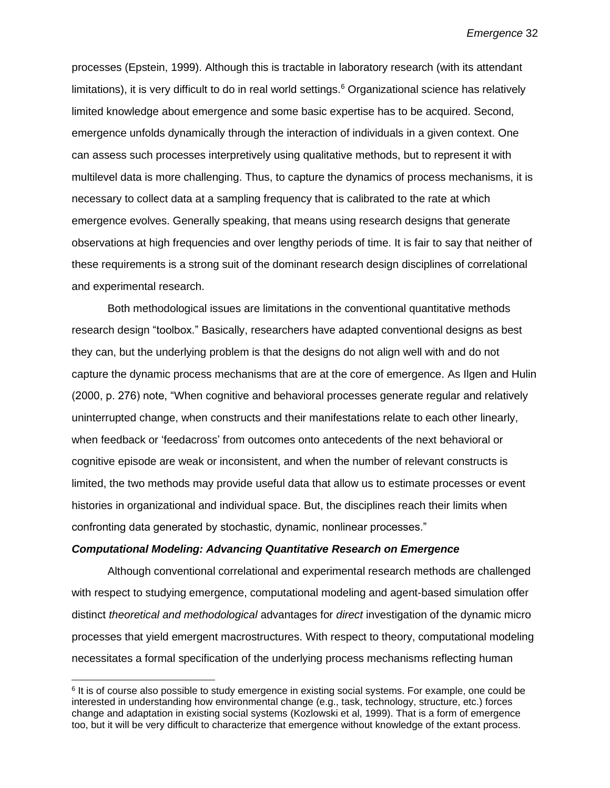processes (Epstein, 1999). Although this is tractable in laboratory research (with its attendant limitations), it is very difficult to do in real world settings.<sup>6</sup> Organizational science has relatively limited knowledge about emergence and some basic expertise has to be acquired. Second, emergence unfolds dynamically through the interaction of individuals in a given context. One can assess such processes interpretively using qualitative methods, but to represent it with multilevel data is more challenging. Thus, to capture the dynamics of process mechanisms, it is necessary to collect data at a sampling frequency that is calibrated to the rate at which emergence evolves. Generally speaking, that means using research designs that generate observations at high frequencies and over lengthy periods of time. It is fair to say that neither of these requirements is a strong suit of the dominant research design disciplines of correlational and experimental research.

Both methodological issues are limitations in the conventional quantitative methods research design "toolbox." Basically, researchers have adapted conventional designs as best they can, but the underlying problem is that the designs do not align well with and do not capture the dynamic process mechanisms that are at the core of emergence. As Ilgen and Hulin (2000, p. 276) note, "When cognitive and behavioral processes generate regular and relatively uninterrupted change, when constructs and their manifestations relate to each other linearly, when feedback or 'feedacross' from outcomes onto antecedents of the next behavioral or cognitive episode are weak or inconsistent, and when the number of relevant constructs is limited, the two methods may provide useful data that allow us to estimate processes or event histories in organizational and individual space. But, the disciplines reach their limits when confronting data generated by stochastic, dynamic, nonlinear processes."

## *Computational Modeling: Advancing Quantitative Research on Emergence*

Although conventional correlational and experimental research methods are challenged with respect to studying emergence, computational modeling and agent-based simulation offer distinct *theoretical and methodological* advantages for *direct* investigation of the dynamic micro processes that yield emergent macrostructures. With respect to theory, computational modeling necessitates a formal specification of the underlying process mechanisms reflecting human

<sup>&</sup>lt;sup>6</sup> It is of course also possible to study emergence in existing social systems. For example, one could be interested in understanding how environmental change (e.g., task, technology, structure, etc.) forces change and adaptation in existing social systems (Kozlowski et al, 1999). That is a form of emergence too, but it will be very difficult to characterize that emergence without knowledge of the extant process.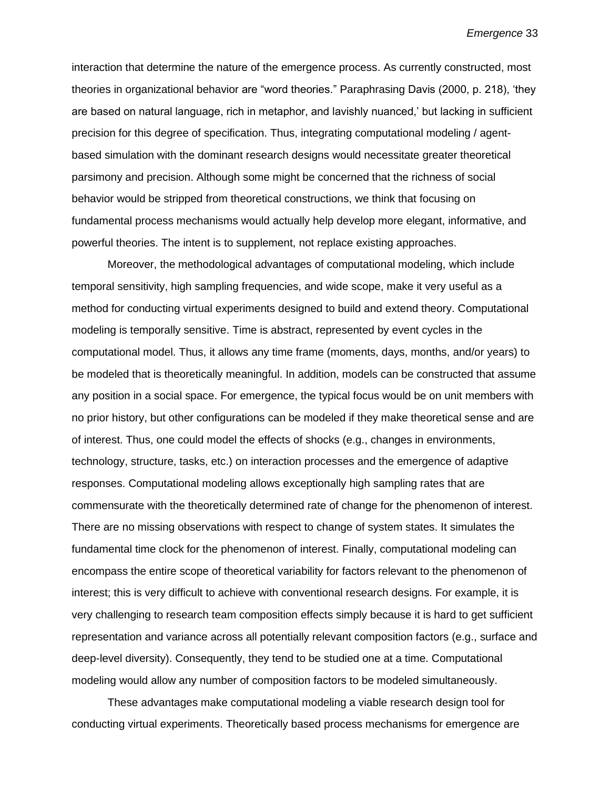interaction that determine the nature of the emergence process. As currently constructed, most theories in organizational behavior are "word theories." Paraphrasing Davis (2000, p. 218), 'they are based on natural language, rich in metaphor, and lavishly nuanced,' but lacking in sufficient precision for this degree of specification. Thus, integrating computational modeling / agentbased simulation with the dominant research designs would necessitate greater theoretical parsimony and precision. Although some might be concerned that the richness of social behavior would be stripped from theoretical constructions, we think that focusing on fundamental process mechanisms would actually help develop more elegant, informative, and powerful theories. The intent is to supplement, not replace existing approaches.

Moreover, the methodological advantages of computational modeling, which include temporal sensitivity, high sampling frequencies, and wide scope, make it very useful as a method for conducting virtual experiments designed to build and extend theory. Computational modeling is temporally sensitive. Time is abstract, represented by event cycles in the computational model. Thus, it allows any time frame (moments, days, months, and/or years) to be modeled that is theoretically meaningful. In addition, models can be constructed that assume any position in a social space. For emergence, the typical focus would be on unit members with no prior history, but other configurations can be modeled if they make theoretical sense and are of interest. Thus, one could model the effects of shocks (e.g., changes in environments, technology, structure, tasks, etc.) on interaction processes and the emergence of adaptive responses. Computational modeling allows exceptionally high sampling rates that are commensurate with the theoretically determined rate of change for the phenomenon of interest. There are no missing observations with respect to change of system states. It simulates the fundamental time clock for the phenomenon of interest. Finally, computational modeling can encompass the entire scope of theoretical variability for factors relevant to the phenomenon of interest; this is very difficult to achieve with conventional research designs. For example, it is very challenging to research team composition effects simply because it is hard to get sufficient representation and variance across all potentially relevant composition factors (e.g., surface and deep-level diversity). Consequently, they tend to be studied one at a time. Computational modeling would allow any number of composition factors to be modeled simultaneously.

These advantages make computational modeling a viable research design tool for conducting virtual experiments. Theoretically based process mechanisms for emergence are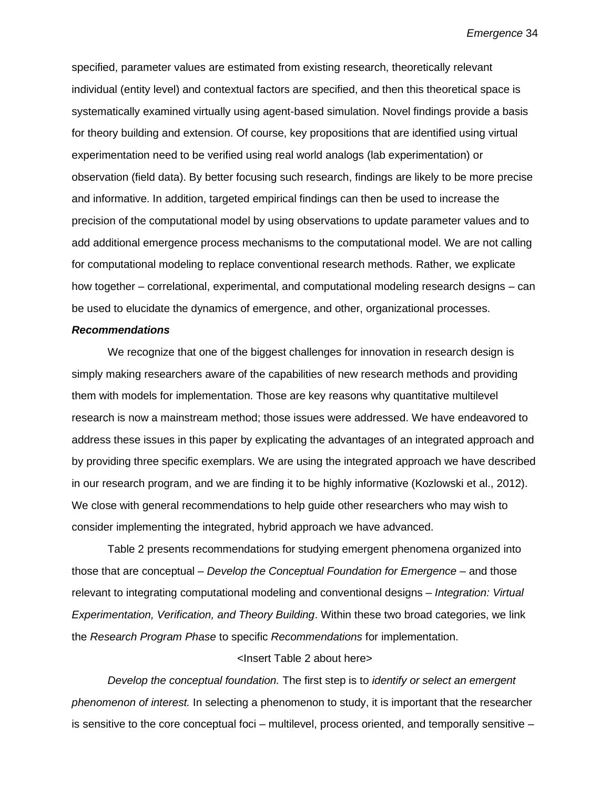specified, parameter values are estimated from existing research, theoretically relevant individual (entity level) and contextual factors are specified, and then this theoretical space is systematically examined virtually using agent-based simulation. Novel findings provide a basis for theory building and extension. Of course, key propositions that are identified using virtual experimentation need to be verified using real world analogs (lab experimentation) or observation (field data). By better focusing such research, findings are likely to be more precise and informative. In addition, targeted empirical findings can then be used to increase the precision of the computational model by using observations to update parameter values and to add additional emergence process mechanisms to the computational model. We are not calling for computational modeling to replace conventional research methods. Rather, we explicate how together – correlational, experimental, and computational modeling research designs – can be used to elucidate the dynamics of emergence, and other, organizational processes.

## *Recommendations*

We recognize that one of the biggest challenges for innovation in research design is simply making researchers aware of the capabilities of new research methods and providing them with models for implementation. Those are key reasons why quantitative multilevel research is now a mainstream method; those issues were addressed. We have endeavored to address these issues in this paper by explicating the advantages of an integrated approach and by providing three specific exemplars. We are using the integrated approach we have described in our research program, and we are finding it to be highly informative (Kozlowski et al., 2012). We close with general recommendations to help guide other researchers who may wish to consider implementing the integrated, hybrid approach we have advanced.

Table 2 presents recommendations for studying emergent phenomena organized into those that are conceptual – *Develop the Conceptual Foundation for Emergence* – and those relevant to integrating computational modeling and conventional designs – *Integration: Virtual Experimentation, Verification, and Theory Building*. Within these two broad categories, we link the *Research Program Phase* to specific *Recommendations* for implementation.

# <Insert Table 2 about here>

*Develop the conceptual foundation.* The first step is to *identify or select an emergent phenomenon of interest.* In selecting a phenomenon to study, it is important that the researcher is sensitive to the core conceptual foci – multilevel, process oriented, and temporally sensitive –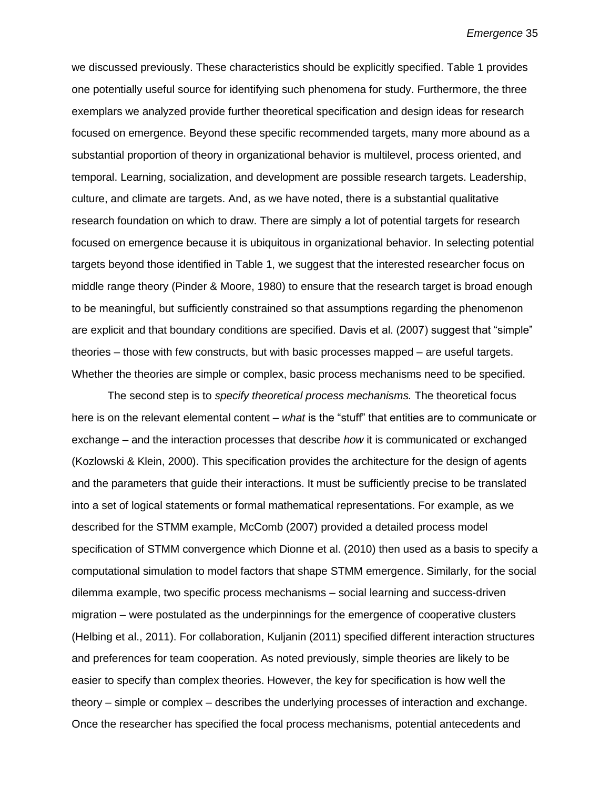we discussed previously. These characteristics should be explicitly specified. Table 1 provides one potentially useful source for identifying such phenomena for study. Furthermore, the three exemplars we analyzed provide further theoretical specification and design ideas for research focused on emergence. Beyond these specific recommended targets, many more abound as a substantial proportion of theory in organizational behavior is multilevel, process oriented, and temporal. Learning, socialization, and development are possible research targets. Leadership, culture, and climate are targets. And, as we have noted, there is a substantial qualitative research foundation on which to draw. There are simply a lot of potential targets for research focused on emergence because it is ubiquitous in organizational behavior. In selecting potential targets beyond those identified in Table 1, we suggest that the interested researcher focus on middle range theory (Pinder & Moore, 1980) to ensure that the research target is broad enough to be meaningful, but sufficiently constrained so that assumptions regarding the phenomenon are explicit and that boundary conditions are specified. Davis et al. (2007) suggest that "simple" theories – those with few constructs, but with basic processes mapped – are useful targets. Whether the theories are simple or complex, basic process mechanisms need to be specified.

The second step is to *specify theoretical process mechanisms.* The theoretical focus here is on the relevant elemental content – *what* is the "stuff" that entities are to communicate or exchange – and the interaction processes that describe *how* it is communicated or exchanged (Kozlowski & Klein, 2000). This specification provides the architecture for the design of agents and the parameters that guide their interactions. It must be sufficiently precise to be translated into a set of logical statements or formal mathematical representations. For example, as we described for the STMM example, McComb (2007) provided a detailed process model specification of STMM convergence which Dionne et al. (2010) then used as a basis to specify a computational simulation to model factors that shape STMM emergence. Similarly, for the social dilemma example, two specific process mechanisms – social learning and success-driven migration – were postulated as the underpinnings for the emergence of cooperative clusters (Helbing et al., 2011). For collaboration, Kuljanin (2011) specified different interaction structures and preferences for team cooperation. As noted previously, simple theories are likely to be easier to specify than complex theories. However, the key for specification is how well the theory – simple or complex – describes the underlying processes of interaction and exchange. Once the researcher has specified the focal process mechanisms, potential antecedents and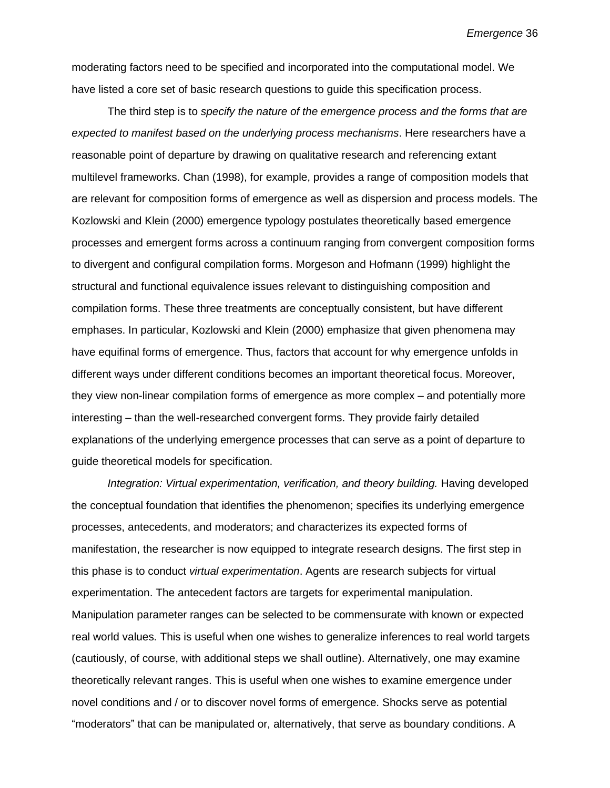moderating factors need to be specified and incorporated into the computational model. We have listed a core set of basic research questions to guide this specification process.

The third step is to *specify the nature of the emergence process and the forms that are expected to manifest based on the underlying process mechanisms*. Here researchers have a reasonable point of departure by drawing on qualitative research and referencing extant multilevel frameworks. Chan (1998), for example, provides a range of composition models that are relevant for composition forms of emergence as well as dispersion and process models. The Kozlowski and Klein (2000) emergence typology postulates theoretically based emergence processes and emergent forms across a continuum ranging from convergent composition forms to divergent and configural compilation forms. Morgeson and Hofmann (1999) highlight the structural and functional equivalence issues relevant to distinguishing composition and compilation forms. These three treatments are conceptually consistent, but have different emphases. In particular, Kozlowski and Klein (2000) emphasize that given phenomena may have equifinal forms of emergence. Thus, factors that account for why emergence unfolds in different ways under different conditions becomes an important theoretical focus. Moreover, they view non-linear compilation forms of emergence as more complex – and potentially more interesting – than the well-researched convergent forms. They provide fairly detailed explanations of the underlying emergence processes that can serve as a point of departure to guide theoretical models for specification.

*Integration: Virtual experimentation, verification, and theory building.* Having developed the conceptual foundation that identifies the phenomenon; specifies its underlying emergence processes, antecedents, and moderators; and characterizes its expected forms of manifestation, the researcher is now equipped to integrate research designs. The first step in this phase is to conduct *virtual experimentation*. Agents are research subjects for virtual experimentation. The antecedent factors are targets for experimental manipulation. Manipulation parameter ranges can be selected to be commensurate with known or expected real world values. This is useful when one wishes to generalize inferences to real world targets (cautiously, of course, with additional steps we shall outline). Alternatively, one may examine theoretically relevant ranges. This is useful when one wishes to examine emergence under novel conditions and / or to discover novel forms of emergence. Shocks serve as potential "moderators" that can be manipulated or, alternatively, that serve as boundary conditions. A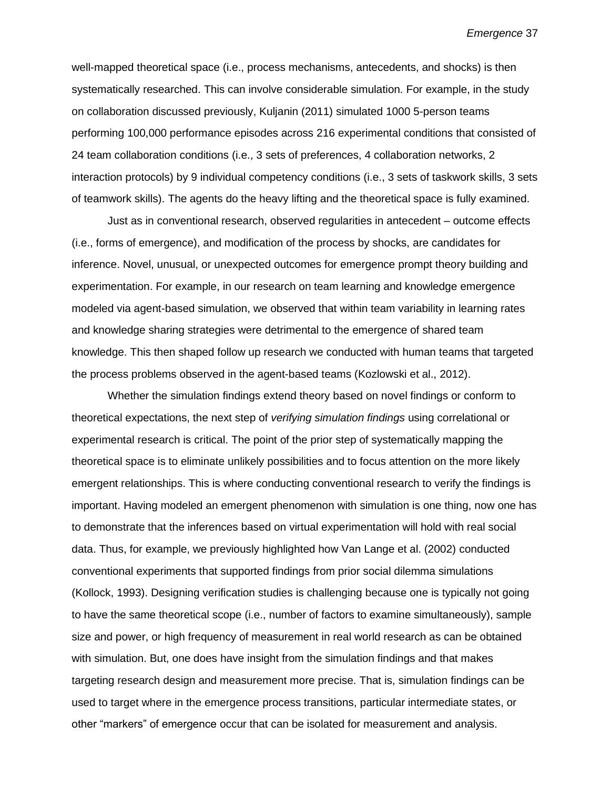well-mapped theoretical space (i.e., process mechanisms, antecedents, and shocks) is then systematically researched. This can involve considerable simulation. For example, in the study on collaboration discussed previously, Kuljanin (2011) simulated 1000 5-person teams performing 100,000 performance episodes across 216 experimental conditions that consisted of 24 team collaboration conditions (i.e., 3 sets of preferences, 4 collaboration networks, 2 interaction protocols) by 9 individual competency conditions (i.e., 3 sets of taskwork skills, 3 sets of teamwork skills). The agents do the heavy lifting and the theoretical space is fully examined.

Just as in conventional research, observed regularities in antecedent – outcome effects (i.e., forms of emergence), and modification of the process by shocks, are candidates for inference. Novel, unusual, or unexpected outcomes for emergence prompt theory building and experimentation. For example, in our research on team learning and knowledge emergence modeled via agent-based simulation, we observed that within team variability in learning rates and knowledge sharing strategies were detrimental to the emergence of shared team knowledge. This then shaped follow up research we conducted with human teams that targeted the process problems observed in the agent-based teams (Kozlowski et al., 2012).

Whether the simulation findings extend theory based on novel findings or conform to theoretical expectations, the next step of *verifying simulation findings* using correlational or experimental research is critical. The point of the prior step of systematically mapping the theoretical space is to eliminate unlikely possibilities and to focus attention on the more likely emergent relationships. This is where conducting conventional research to verify the findings is important. Having modeled an emergent phenomenon with simulation is one thing, now one has to demonstrate that the inferences based on virtual experimentation will hold with real social data. Thus, for example, we previously highlighted how Van Lange et al. (2002) conducted conventional experiments that supported findings from prior social dilemma simulations (Kollock, 1993). Designing verification studies is challenging because one is typically not going to have the same theoretical scope (i.e., number of factors to examine simultaneously), sample size and power, or high frequency of measurement in real world research as can be obtained with simulation. But, one does have insight from the simulation findings and that makes targeting research design and measurement more precise. That is, simulation findings can be used to target where in the emergence process transitions, particular intermediate states, or other "markers" of emergence occur that can be isolated for measurement and analysis.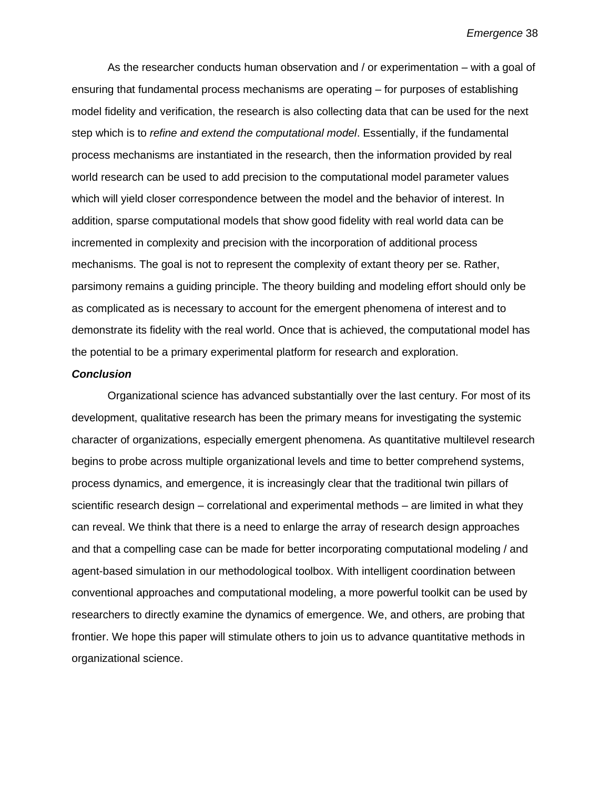As the researcher conducts human observation and / or experimentation – with a goal of ensuring that fundamental process mechanisms are operating – for purposes of establishing model fidelity and verification, the research is also collecting data that can be used for the next step which is to *refine and extend the computational model*. Essentially, if the fundamental process mechanisms are instantiated in the research, then the information provided by real world research can be used to add precision to the computational model parameter values which will yield closer correspondence between the model and the behavior of interest. In addition, sparse computational models that show good fidelity with real world data can be incremented in complexity and precision with the incorporation of additional process mechanisms. The goal is not to represent the complexity of extant theory per se. Rather, parsimony remains a guiding principle. The theory building and modeling effort should only be as complicated as is necessary to account for the emergent phenomena of interest and to demonstrate its fidelity with the real world. Once that is achieved, the computational model has the potential to be a primary experimental platform for research and exploration.

#### *Conclusion*

Organizational science has advanced substantially over the last century. For most of its development, qualitative research has been the primary means for investigating the systemic character of organizations, especially emergent phenomena. As quantitative multilevel research begins to probe across multiple organizational levels and time to better comprehend systems, process dynamics, and emergence, it is increasingly clear that the traditional twin pillars of scientific research design – correlational and experimental methods – are limited in what they can reveal. We think that there is a need to enlarge the array of research design approaches and that a compelling case can be made for better incorporating computational modeling / and agent-based simulation in our methodological toolbox. With intelligent coordination between conventional approaches and computational modeling, a more powerful toolkit can be used by researchers to directly examine the dynamics of emergence. We, and others, are probing that frontier. We hope this paper will stimulate others to join us to advance quantitative methods in organizational science.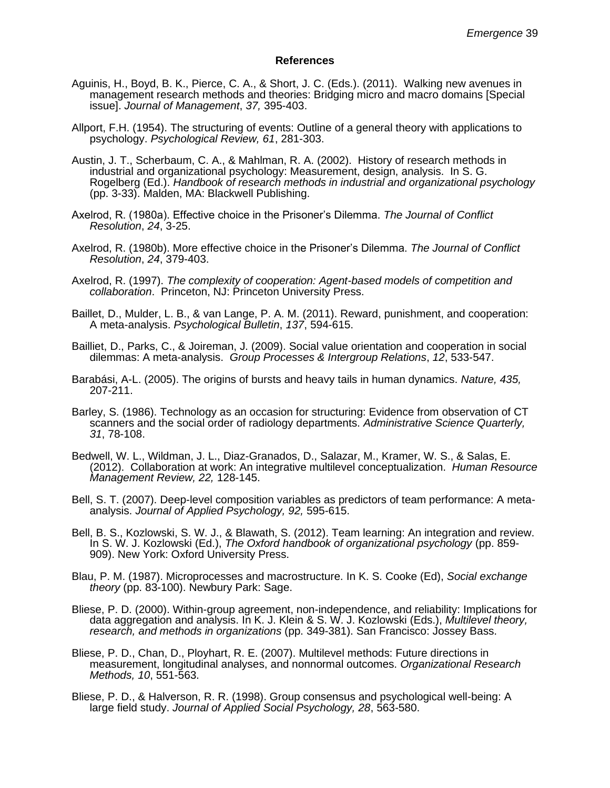#### **References**

- Aguinis, H., Boyd, B. K., Pierce, C. A., & Short, J. C. (Eds.). (2011). Walking new avenues in management research methods and theories: Bridging micro and macro domains [Special issue]. *Journal of Management*, *37,* 395-403.
- Allport, F.H. (1954). The structuring of events: Outline of a general theory with applications to psychology. *Psychological Review, 61*, 281-303.
- Austin, J. T., Scherbaum, C. A., & Mahlman, R. A. (2002). History of research methods in industrial and organizational psychology: Measurement, design, analysis. In S. G. Rogelberg (Ed.). *Handbook of research methods in industrial and organizational psychology* (pp. 3-33). Malden, MA: Blackwell Publishing.
- Axelrod, R. (1980a). Effective choice in the Prisoner's Dilemma. *The Journal of Conflict Resolution*, *24*, 3-25.
- Axelrod, R. (1980b). More effective choice in the Prisoner's Dilemma. *The Journal of Conflict Resolution*, *24*, 379-403.
- Axelrod, R. (1997). *The complexity of cooperation: Agent-based models of competition and collaboration*. Princeton, NJ: Princeton University Press.
- Baillet, D., Mulder, L. B., & van Lange, P. A. M. (2011). Reward, punishment, and cooperation: A meta-analysis. *Psychological Bulletin*, *137*, 594-615.
- Bailliet, D., Parks, C., & Joireman, J. (2009). Social value orientation and cooperation in social dilemmas: A meta-analysis. *Group Processes & Intergroup Relations*, *12*, 533-547.
- Barabási, A-L. (2005). The origins of bursts and heavy tails in human dynamics. *Nature, 435,*  207-211.
- Barley, S. (1986). Technology as an occasion for structuring: Evidence from observation of CT scanners and the social order of radiology departments. *Administrative Science Quarterly, 31*, 78-108.
- Bedwell, W. L., Wildman, J. L., Diaz-Granados, D., Salazar, M., Kramer, W. S., & Salas, E. (2012). Collaboration at work: An integrative multilevel conceptualization. *Human Resource Management Review, 22,* 128-145.
- Bell, S. T. (2007). Deep-level composition variables as predictors of team performance: A metaanalysis. *Journal of Applied Psychology, 92,* 595-615.
- Bell, B. S., Kozlowski, S. W. J., & Blawath, S. (2012). Team learning: An integration and review. In S. W. J. Kozlowski (Ed.), *The Oxford handbook of organizational psychology* (pp. 859- 909). New York: Oxford University Press.
- Blau, P. M. (1987). Microprocesses and macrostructure. In K. S. Cooke (Ed), *Social exchange theory* (pp. 83-100). Newbury Park: Sage.
- Bliese, P. D. (2000). Within-group agreement, non-independence, and reliability: Implications for data aggregation and analysis. In K. J. Klein & S. W. J. Kozlowski (Eds.), *Multilevel theory, research, and methods in organizations* (pp. 349-381). San Francisco: Jossey Bass.
- Bliese, P. D., Chan, D., Ployhart, R. E. (2007). Multilevel methods: Future directions in measurement, longitudinal analyses, and nonnormal outcomes. *Organizational Research Methods, 10*, 551-563.
- Bliese, P. D., & Halverson, R. R. (1998). Group consensus and psychological well-being: A large field study. *Journal of Applied Social Psychology, 28*, 563-580.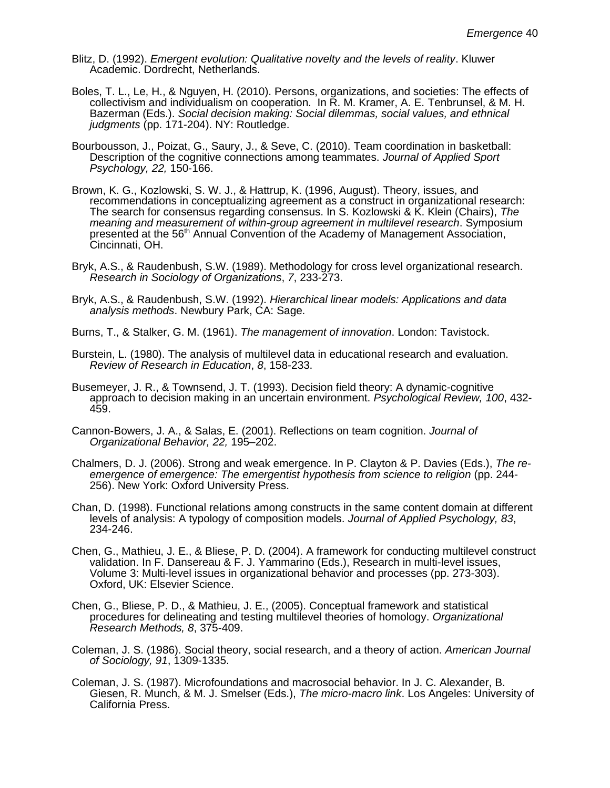- Blitz, D. (1992). *Emergent evolution: Qualitative novelty and the levels of reality*. Kluwer Academic. Dordrecht, Netherlands.
- Boles, T. L., Le, H., & Nguyen, H. (2010). Persons, organizations, and societies: The effects of collectivism and individualism on cooperation. In R. M. Kramer, A. E. Tenbrunsel, & M. H. Bazerman (Eds.). *Social decision making: Social dilemmas, social values, and ethnical judgments* (pp. 171-204). NY: Routledge.
- Bourbousson, J., Poizat, G., Saury, J., & Seve, C. (2010). Team coordination in basketball: Description of the cognitive connections among teammates. *Journal of Applied Sport Psychology, 22,* 150-166.
- Brown, K. G., Kozlowski, S. W. J., & Hattrup, K. (1996, August). Theory, issues, and recommendations in conceptualizing agreement as a construct in organizational research: The search for consensus regarding consensus. In S. Kozlowski & K. Klein (Chairs), *The meaning and measurement of within-group agreement in multilevel research*. Symposium presented at the 56<sup>th</sup> Annual Convention of the Academy of Management Association, Cincinnati, OH.
- Bryk, A.S., & Raudenbush, S.W. (1989). Methodology for cross level organizational research. *Research in Sociology of Organizations*, *7*, 233-273.
- Bryk, A.S., & Raudenbush, S.W. (1992). *Hierarchical linear models: Applications and data analysis methods*. Newbury Park, CA: Sage.
- Burns, T., & Stalker, G. M. (1961). *The management of innovation*. London: Tavistock.
- Burstein, L. (1980). The analysis of multilevel data in educational research and evaluation. *Review of Research in Education*, *8*, 158-233.
- Busemeyer, J. R., & Townsend, J. T. (1993). Decision field theory: A dynamic-cognitive approach to decision making in an uncertain environment. *Psychological Review, 100*, 432- 459.
- Cannon-Bowers, J. A., & Salas, E. (2001). Reflections on team cognition. *Journal of Organizational Behavior, 22,* 195–202.
- Chalmers, D. J. (2006). Strong and weak emergence. In P. Clayton & P. Davies (Eds.), *The reemergence of emergence: The emergentist hypothesis from science to religion* (pp. 244- 256). New York: Oxford University Press.
- Chan, D. (1998). Functional relations among constructs in the same content domain at different levels of analysis: A typology of composition models. *Journal of Applied Psychology, 83*, 234-246.
- Chen, G., Mathieu, J. E., & Bliese, P. D. (2004). A framework for conducting multilevel construct validation. In F. Dansereau & F. J. Yammarino (Eds.), Research in multi-level issues, Volume 3: Multi-level issues in organizational behavior and processes (pp. 273-303). Oxford, UK: Elsevier Science.
- Chen, G., Bliese, P. D., & Mathieu, J. E., (2005). Conceptual framework and statistical procedures for delineating and testing multilevel theories of homology. *Organizational Research Methods, 8*, 375-409.
- Coleman, J. S. (1986). Social theory, social research, and a theory of action. *American Journal of Sociology, 91*, 1309-1335.
- Coleman, J. S. (1987). Microfoundations and macrosocial behavior. In J. C. Alexander, B. Giesen, R. Munch, & M. J. Smelser (Eds.), *The micro-macro link*. Los Angeles: University of California Press.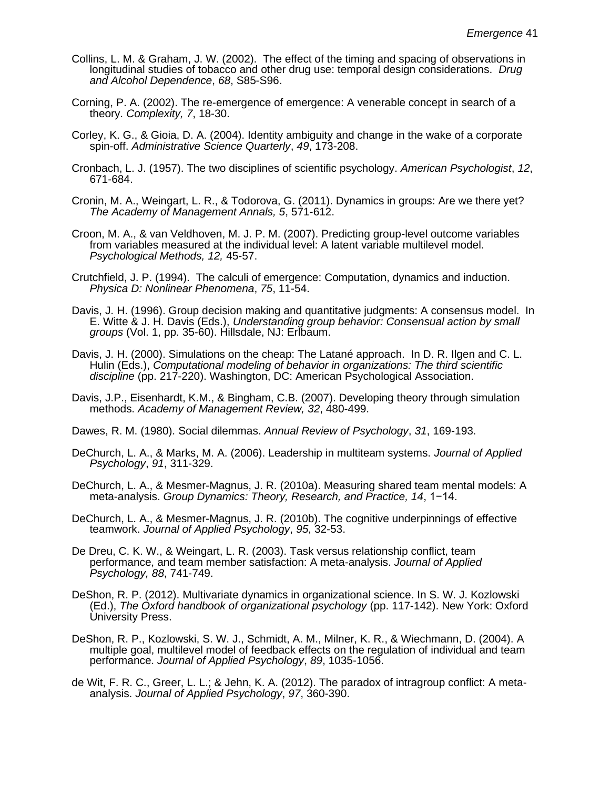- Collins, L. M. & Graham, J. W. (2002). The effect of the timing and spacing of observations in longitudinal studies of tobacco and other drug use: temporal design considerations. *Drug and Alcohol Dependence*, *68*, S85-S96.
- Corning, P. A. (2002). The re-emergence of emergence: A venerable concept in search of a theory. *Complexity, 7*, 18-30.
- Corley, K. G., & Gioia, D. A. (2004). Identity ambiguity and change in the wake of a corporate spin-off. *Administrative Science Quarterly*, *49*, 173-208.
- Cronbach, L. J. (1957). The two disciplines of scientific psychology. *American Psychologist*, *12*, 671-684.
- Cronin, M. A., Weingart, L. R., & Todorova, G. (2011). Dynamics in groups: Are we there yet? *The Academy of Management Annals, 5*, 571-612.
- Croon, M. A., & van Veldhoven, M. J. P. M. (2007). Predicting group-level outcome variables from variables measured at the individual level: A latent variable multilevel model. *Psychological Methods, 12,* 45-57.
- Crutchfield, J. P. (1994). The calculi of emergence: Computation, dynamics and induction. *Physica D: Nonlinear Phenomena*, *75*, 11-54.
- Davis, J. H. (1996). Group decision making and quantitative judgments: A consensus model. In E. Witte & J. H. Davis (Eds.), *Understanding group behavior: Consensual action by small groups* (Vol. 1, pp. 35-60). Hillsdale, NJ: Erlbaum.
- Davis, J. H. (2000). Simulations on the cheap: The Latané approach. In D. R. Ilgen and C. L. Hulin (Eds.), *Computational modeling of behavior in organizations: The third scientific discipline* (pp. 217-220). Washington, DC: American Psychological Association.
- Davis, J.P., Eisenhardt, K.M., & Bingham, C.B. (2007). Developing theory through simulation methods. *Academy of Management Review, 32*, 480-499.
- Dawes, R. M. (1980). Social dilemmas. *Annual Review of Psychology*, *31*, 169-193.
- DeChurch, L. A., & Marks, M. A. (2006). Leadership in multiteam systems. *Journal of Applied Psychology*, *91*, 311-329.
- DeChurch, L. A., & Mesmer-Magnus, J. R. (2010a). Measuring shared team mental models: A meta-analysis. *Group Dynamics: Theory, Research, and Practice, 14*, 1−14.
- DeChurch, L. A., & Mesmer-Magnus, J. R. (2010b). The cognitive underpinnings of effective teamwork. *Journal of Applied Psychology*, *95*, 32-53.
- De Dreu, C. K. W., & Weingart, L. R. (2003). Task versus relationship conflict, team performance, and team member satisfaction: A meta-analysis. *Journal of Applied Psychology, 88*, 741-749.
- DeShon, R. P. (2012). Multivariate dynamics in organizational science. In S. W. J. Kozlowski (Ed.), *The Oxford handbook of organizational psychology* (pp. 117-142). New York: Oxford University Press.
- DeShon, R. P., Kozlowski, S. W. J., Schmidt, A. M., Milner, K. R., & Wiechmann, D. (2004). A multiple goal, multilevel model of feedback effects on the regulation of individual and team performance. *Journal of Applied Psychology*, *89*, 1035-1056.
- de Wit, F. R. C., Greer, L. L.; & Jehn, K. A. (2012). The paradox of intragroup conflict: A metaanalysis. *Journal of Applied Psychology*, *97*, 360-390.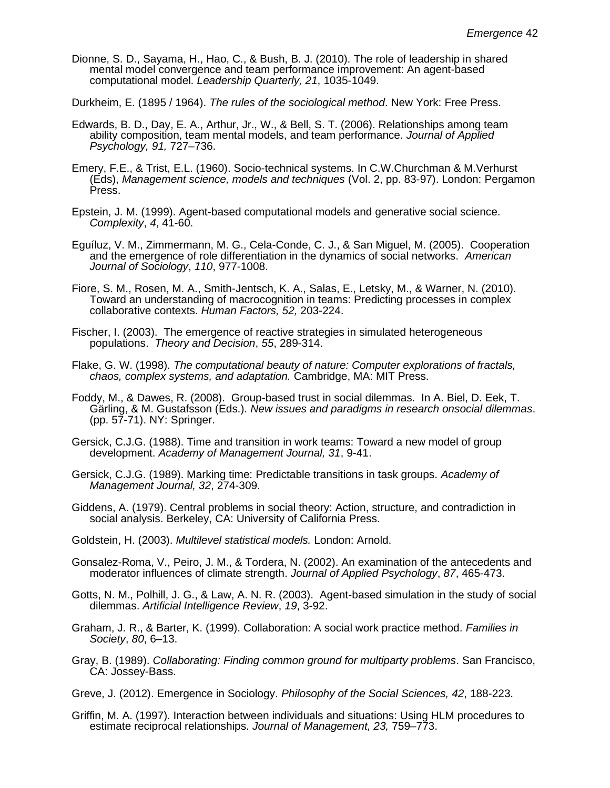- Dionne, S. D., Sayama, H., Hao, C., & Bush, B. J. (2010). The role of leadership in shared mental model convergence and team performance improvement: An agent-based computational model. *Leadership Quarterly, 21*, 1035-1049.
- Durkheim, E. (1895 / 1964). *The rules of the sociological method*. New York: Free Press.
- Edwards, B. D., Day, E. A., Arthur, Jr., W., & Bell, S. T. (2006). Relationships among team ability composition, team mental models, and team performance. *Journal of Applied Psychology, 91,* 727–736.
- Emery, F.E., & Trist, E.L. (1960). Socio-technical systems. In C.W.Churchman & M.Verhurst (Eds), *Management science, models and techniques* (Vol. 2, pp. 83-97). London: Pergamon Press.
- Epstein, J. M. (1999). Agent-based computational models and generative social science. *Complexity*, *4*, 41-60.
- Eguíluz, V. M., Zimmermann, M. G., Cela-Conde, C. J., & San Miguel, M. (2005). Cooperation and the emergence of role differentiation in the dynamics of social networks. *American Journal of Sociology*, *110*, 977-1008.
- Fiore, S. M., Rosen, M. A., Smith-Jentsch, K. A., Salas, E., Letsky, M., & Warner, N. (2010). Toward an understanding of macrocognition in teams: Predicting processes in complex collaborative contexts. *Human Factors, 52,* 203-224.
- Fischer, I. (2003). The emergence of reactive strategies in simulated heterogeneous populations. *Theory and Decision*, *55*, 289-314.
- Flake, G. W. (1998). *The computational beauty of nature: Computer explorations of fractals, chaos, complex systems, and adaptation.* Cambridge, MA: MIT Press.
- Foddy, M., & Dawes, R. (2008). Group-based trust in social dilemmas. In A. Biel, D. Eek, T. Gärling, & M. Gustafsson (Eds.). *New issues and paradigms in research onsocial dilemmas*. (pp. 57-71). NY: Springer.
- Gersick, C.J.G. (1988). Time and transition in work teams: Toward a new model of group development. *Academy of Management Journal, 31*, 9-41.
- Gersick, C.J.G. (1989). Marking time: Predictable transitions in task groups. *Academy of Management Journal, 32*, 274-309.
- Giddens, A. (1979). Central problems in social theory: Action, structure, and contradiction in social analysis. Berkeley, CA: University of California Press.
- Goldstein, H. (2003). *Multilevel statistical models.* London: Arnold.
- Gonsalez-Roma, V., Peiro, J. M., & Tordera, N. (2002). An examination of the antecedents and moderator influences of climate strength. *Journal of Applied Psychology*, *87*, 465-473.
- Gotts, N. M., Polhill, J. G., & Law, A. N. R. (2003). Agent-based simulation in the study of social dilemmas. *Artificial Intelligence Review*, *19*, 3-92.
- Graham, J. R., & Barter, K. (1999). Collaboration: A social work practice method. *Families in Society*, *80*, 6–13.
- Gray, B. (1989). *Collaborating: Finding common ground for multiparty problems*. San Francisco, CA: Jossey-Bass.
- Greve, J. (2012). Emergence in Sociology. *Philosophy of the Social Sciences, 42*, 188-223.
- Griffin, M. A. (1997). Interaction between individuals and situations: Using HLM procedures to estimate reciprocal relationships. *Journal of Management, 23,* 759–773.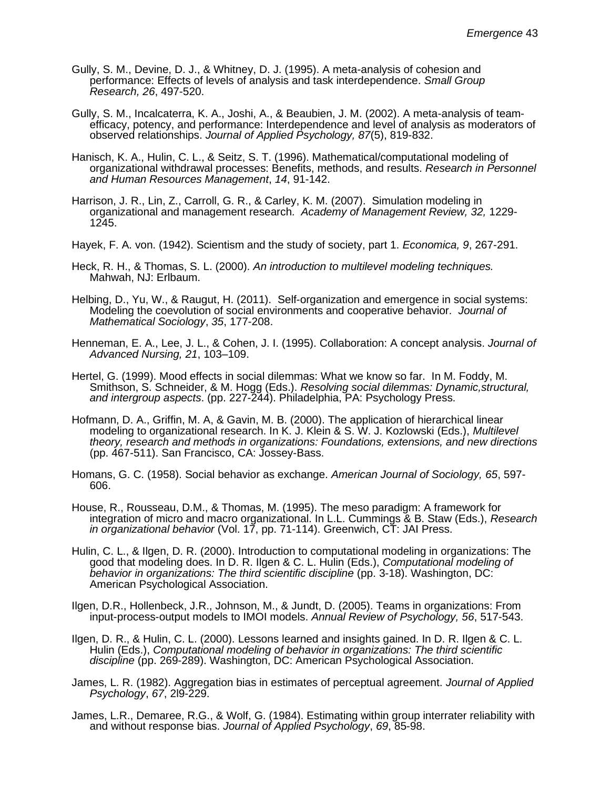- Gully, S. M., Devine, D. J., & Whitney, D. J. (1995). A meta-analysis of cohesion and performance: Effects of levels of analysis and task interdependence. *Small Group Research, 26*, 497-520.
- Gully, S. M., Incalcaterra, K. A., Joshi, A., & Beaubien, J. M. (2002). A meta-analysis of teamefficacy, potency, and performance: Interdependence and level of analysis as moderators of observed relationships. *Journal of Applied Psychology, 87*(5), 819-832.
- Hanisch, K. A., Hulin, C. L., & Seitz, S. T. (1996). Mathematical/computational modeling of organizational withdrawal processes: Benefits, methods, and results. *Research in Personnel and Human Resources Management*, *14*, 91-142.
- Harrison, J. R., Lin, Z., Carroll, G. R., & Carley, K. M. (2007). Simulation modeling in organizational and management research. *Academy of Management Review, 32,* 1229- 1245.
- Hayek, F. A. von. (1942). Scientism and the study of society, part 1. *Economica, 9*, 267-291.
- Heck, R. H., & Thomas, S. L. (2000). *An introduction to multilevel modeling techniques.*  Mahwah, NJ: Erlbaum.
- Helbing, D., Yu, W., & Raugut, H. (2011). Self-organization and emergence in social systems: Modeling the coevolution of social environments and cooperative behavior. *Journal of Mathematical Sociology*, *35*, 177-208.
- Henneman, E. A., Lee, J. L., & Cohen, J. I. (1995). Collaboration: A concept analysis. *Journal of Advanced Nursing, 21*, 103–109.
- Hertel, G. (1999). Mood effects in social dilemmas: What we know so far. In M. Foddy, M. Smithson, S. Schneider, & M. Hogg (Eds.). *Resolving social dilemmas: Dynamic,structural, and intergroup aspects*. (pp. 227-244). Philadelphia, PA: Psychology Press.
- Hofmann, D. A., Griffin, M. A, & Gavin, M. B. (2000). The application of hierarchical linear modeling to organizational research. In K. J. Klein & S. W. J. Kozlowski (Eds.), *Multilevel theory, research and methods in organizations: Foundations, extensions, and new directions* (pp. 467-511). San Francisco, CA: Jossey-Bass.
- Homans, G. C. (1958). Social behavior as exchange. *American Journal of Sociology, 65*, 597- 606.
- House, R., Rousseau, D.M., & Thomas, M. (1995). The meso paradigm: A framework for integration of micro and macro organizational. In L.L. Cummings & B. Staw (Eds.), *Research in organizational behavior* (Vol. 17, pp. 71-114). Greenwich, CT: JAI Press.
- Hulin, C. L., & Ilgen, D. R. (2000). Introduction to computational modeling in organizations: The good that modeling does. In D. R. Ilgen & C. L. Hulin (Eds.), *Computational modeling of behavior in organizations: The third scientific discipline* (pp. 3-18). Washington, DC: American Psychological Association.
- Ilgen, D.R., Hollenbeck, J.R., Johnson, M., & Jundt, D. (2005). Teams in organizations: From input-process-output models to IMOI models. *Annual Review of Psychology, 56*, 517-543.
- Ilgen, D. R., & Hulin, C. L. (2000). Lessons learned and insights gained. In D. R. Ilgen & C. L. Hulin (Eds.), *Computational modeling of behavior in organizations: The third scientific*  discipline (pp. 269-289). Washington, DC: American Psychological Association.
- James, L. R. (1982). Aggregation bias in estimates of perceptual agreement. *Journal of Applied Psychology*, *67*, 2l9-229.
- James, L.R., Demaree, R.G., & Wolf, G. (1984). Estimating within group interrater reliability with and without response bias. *Journal of Applied Psychology*, *69*, 85-98.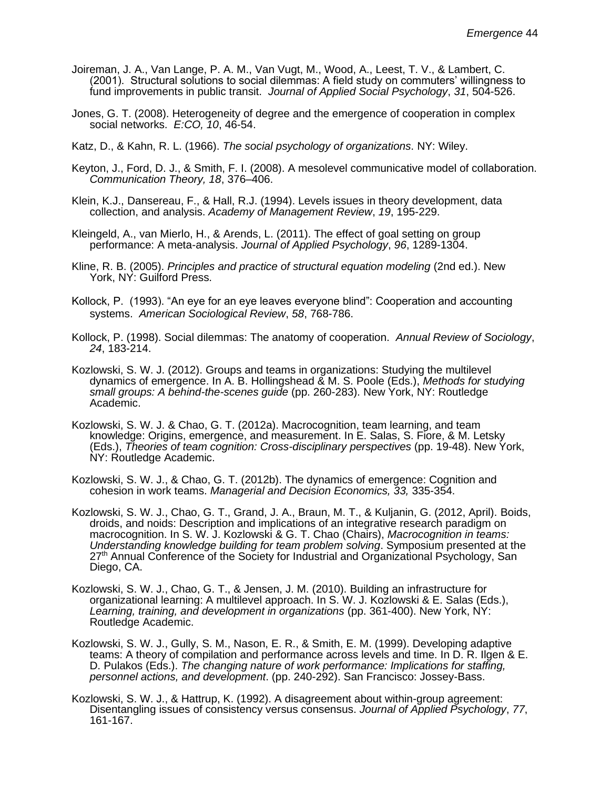- Joireman, J. A., Van Lange, P. A. M., Van Vugt, M., Wood, A., Leest, T. V., & Lambert, C. (2001). Structural solutions to social dilemmas: A field study on commuters' willingness to fund improvements in public transit. *Journal of Applied Social Psychology*, *31*, 504-526.
- Jones, G. T. (2008). Heterogeneity of degree and the emergence of cooperation in complex social networks. *E:CO, 10*, 46-54.
- Katz, D., & Kahn, R. L. (1966). *The social psychology of organizations*. NY: Wiley.
- Keyton, J., Ford, D. J., & Smith, F. I. (2008). A mesolevel communicative model of collaboration. *Communication Theory, 18*, 376–406.
- Klein, K.J., Dansereau, F., & Hall, R.J. (1994). Levels issues in theory development, data collection, and analysis. *Academy of Management Review*, *19*, 195-229.
- Kleingeld, A., van Mierlo, H., & Arends, L. (2011). The effect of goal setting on group performance: A meta-analysis. *Journal of Applied Psychology*, *96*, 1289-1304.
- Kline, R. B. (2005). *Principles and practice of structural equation modeling* (2nd ed.). New York, NY: Guilford Press.
- Kollock, P. (1993). "An eye for an eye leaves everyone blind": Cooperation and accounting systems. *American Sociological Review*, *58*, 768-786.
- Kollock, P. (1998). Social dilemmas: The anatomy of cooperation. *Annual Review of Sociology*, *24*, 183-214.
- Kozlowski, S. W. J. (2012). Groups and teams in organizations: Studying the multilevel dynamics of emergence. In A. B. Hollingshead & M. S. Poole (Eds.), *Methods for studying small groups: A behind-the-scenes guide* (pp. 260-283). New York, NY: Routledge Academic.
- Kozlowski, S. W. J. & Chao, G. T. (2012a). Macrocognition, team learning, and team knowledge: Origins, emergence, and measurement. In E. Salas, S. Fiore, & M. Letsky (Eds.), *Theories of team cognition: Cross-disciplinary perspectives* (pp. 19-48). New York, NY: Routledge Academic.
- Kozlowski, S. W. J., & Chao, G. T. (2012b). The dynamics of emergence: Cognition and cohesion in work teams. *Managerial and Decision Economics, 33,* 335-354.
- Kozlowski, S. W. J., Chao, G. T., Grand, J. A., Braun, M. T., & Kuljanin, G. (2012, April). Boids, droids, and noids: Description and implications of an integrative research paradigm on macrocognition. In S. W. J. Kozlowski & G. T. Chao (Chairs), *Macrocognition in teams: Understanding knowledge building for team problem solving*. Symposium presented at the 27<sup>th</sup> Annual Conference of the Society for Industrial and Organizational Psychology, San Diego, CA.
- Kozlowski, S. W. J., Chao, G. T., & Jensen, J. M. (2010). Building an infrastructure for organizational learning: A multilevel approach. In S. W. J. Kozlowski & E. Salas (Eds.), *Learning, training, and development in organizations* (pp. 361-400). New York, NY: Routledge Academic.
- Kozlowski, S. W. J., Gully, S. M., Nason, E. R., & Smith, E. M. (1999). Developing adaptive teams: A theory of compilation and performance across levels and time. In D. R. Ilgen & E. D. Pulakos (Eds.). *The changing nature of work performance: Implications for staffing, personnel actions, and development*. (pp. 240-292). San Francisco: Jossey-Bass.
- Kozlowski, S. W. J., & Hattrup, K. (1992). A disagreement about within-group agreement: Disentangling issues of consistency versus consensus. *Journal of Applied Psychology*, *77*, 161-167.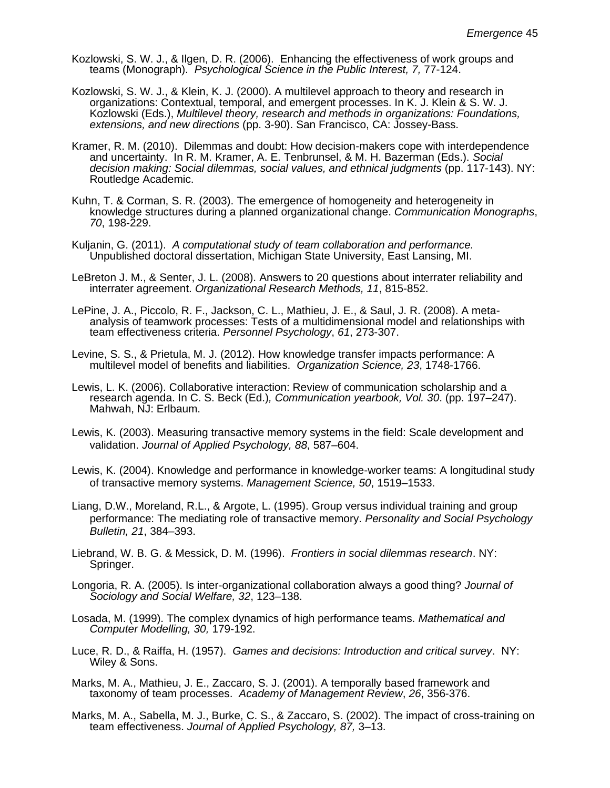Kozlowski, S. W. J., & Ilgen, D. R. (2006). Enhancing the effectiveness of work groups and teams (Monograph). *Psychological Science in the Public Interest, 7,* 77-124.

- Kozlowski, S. W. J., & Klein, K. J. (2000). A multilevel approach to theory and research in organizations: Contextual, temporal, and emergent processes. In K. J. Klein & S. W. J. Kozlowski (Eds.), *Multilevel theory, research and methods in organizations: Foundations, extensions, and new directions* (pp. 3-90). San Francisco, CA: Jossey-Bass.
- Kramer, R. M. (2010). Dilemmas and doubt: How decision-makers cope with interdependence and uncertainty. In R. M. Kramer, A. E. Tenbrunsel, & M. H. Bazerman (Eds.). *Social decision making: Social dilemmas, social values, and ethnical judgments* (pp. 117-143). NY: Routledge Academic.
- Kuhn, T. & Corman, S. R. (2003). The emergence of homogeneity and heterogeneity in knowledge structures during a planned organizational change. *Communication Monographs*, *70*, 198-229.
- Kuljanin, G. (2011). *A computational study of team collaboration and performance.* Unpublished doctoral dissertation, Michigan State University, East Lansing, MI.
- LeBreton J. M., & Senter, J. L. (2008). Answers to 20 questions about interrater reliability and interrater agreement. *Organizational Research Methods, 11*, 815-852.
- LePine, J. A., Piccolo, R. F., Jackson, C. L., Mathieu, J. E., & Saul, J. R. (2008). A metaanalysis of teamwork processes: Tests of a multidimensional model and relationships with team effectiveness criteria. *Personnel Psychology*, *61*, 273-307.
- Levine, S. S., & Prietula, M. J. (2012). How knowledge transfer impacts performance: A multilevel model of benefits and liabilities. *Organization Science, 23*, 1748-1766.
- Lewis, L. K. (2006). Collaborative interaction: Review of communication scholarship and a research agenda. In C. S. Beck (Ed.)*, Communication yearbook, Vol. 30*. (pp. 197–247). Mahwah, NJ: Erlbaum.
- Lewis, K. (2003). Measuring transactive memory systems in the field: Scale development and validation. *Journal of Applied Psychology, 88*, 587–604.
- Lewis, K. (2004). Knowledge and performance in knowledge-worker teams: A longitudinal study of transactive memory systems. *Management Science, 50*, 1519–1533.
- Liang, D.W., Moreland, R.L., & Argote, L. (1995). Group versus individual training and group performance: The mediating role of transactive memory. *Personality and Social Psychology Bulletin, 21*, 384–393.
- Liebrand, W. B. G. & Messick, D. M. (1996). *Frontiers in social dilemmas research*. NY: Springer.
- Longoria, R. A. (2005). Is inter-organizational collaboration always a good thing? *Journal of Sociology and Social Welfare, 32*, 123–138.
- Losada, M. (1999). The complex dynamics of high performance teams. *Mathematical and Computer Modelling, 30,* 179-192.
- Luce, R. D., & Raiffa, H. (1957). *Games and decisions: Introduction and critical survey*. NY: Wiley & Sons.
- Marks, M. A., Mathieu, J. E., Zaccaro, S. J. (2001). A temporally based framework and taxonomy of team processes. *Academy of Management Review*, *26*, 356-376.
- Marks, M. A., Sabella, M. J., Burke, C. S., & Zaccaro, S. (2002). The impact of cross-training on team effectiveness. *Journal of Applied Psychology, 87,* 3–13.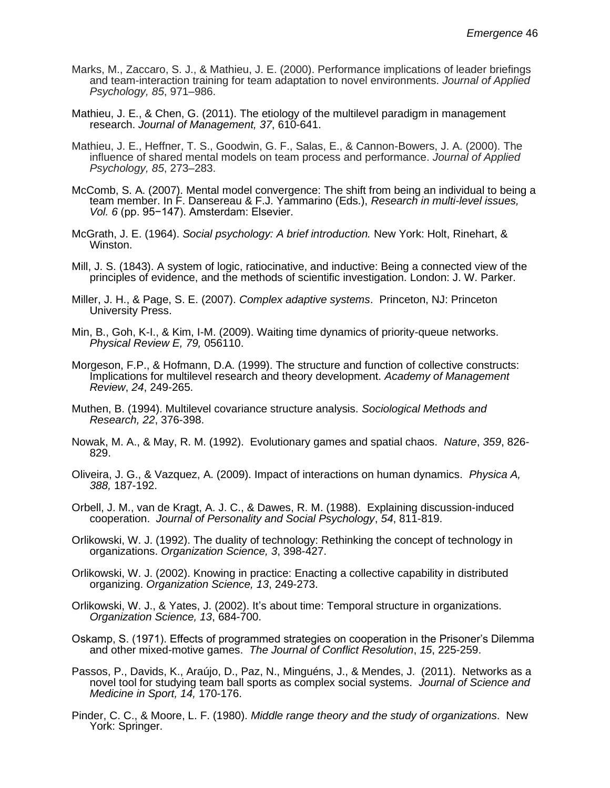- Marks, M., Zaccaro, S. J., & Mathieu, J. E. (2000). Performance implications of leader briefings and team-interaction training for team adaptation to novel environments. *Journal of Applied Psychology, 85*, 971–986.
- Mathieu, J. E., & Chen, G. (2011). The etiology of the multilevel paradigm in management research. *Journal of Management, 37*, 610-641.
- Mathieu, J. E., Heffner, T. S., Goodwin, G. F., Salas, E., & Cannon-Bowers, J. A. (2000). The influence of shared mental models on team process and performance. *Journal of Applied Psychology, 85*, 273–283.
- McComb, S. A. (2007). Mental model convergence: The shift from being an individual to being a team member. In F. Dansereau & F.J. Yammarino (Eds.), *Research in multi-level issues, Vol. 6* (pp. 95−147). Amsterdam: Elsevier.
- McGrath, J. E. (1964). *Social psychology: A brief introduction.* New York: Holt, Rinehart, & Winston.
- Mill, J. S. (1843). A system of logic, ratiocinative, and inductive: Being a connected view of the principles of evidence, and the methods of scientific investigation. London: J. W. Parker.
- Miller, J. H., & Page, S. E. (2007). *Complex adaptive systems*. Princeton, NJ: Princeton University Press.
- Min, B., Goh, K-I., & Kim, I-M. (2009). Waiting time dynamics of priority-queue networks. *Physical Review E, 79,* 056110.
- Morgeson, F.P., & Hofmann, D.A. (1999). The structure and function of collective constructs: Implications for multilevel research and theory development. *Academy of Management Review*, *24*, 249-265.
- Muthen, B. (1994). Multilevel covariance structure analysis. *Sociological Methods and Research, 22*, 376-398.
- Nowak, M. A., & May, R. M. (1992). Evolutionary games and spatial chaos. *Nature*, *359*, 826- 829.
- Oliveira, J. G., & Vazquez, A. (2009). Impact of interactions on human dynamics. *Physica A, 388,* 187-192.
- Orbell, J. M., van de Kragt, A. J. C., & Dawes, R. M. (1988). Explaining discussion-induced cooperation. *Journal of Personality and Social Psychology*, *54*, 811-819.
- Orlikowski, W. J. (1992). The duality of technology: Rethinking the concept of technology in organizations. *Organization Science, 3*, 398-427.
- Orlikowski, W. J. (2002). Knowing in practice: Enacting a collective capability in distributed organizing. *Organization Science, 13*, 249-273.
- Orlikowski, W. J., & Yates, J. (2002). It's about time: Temporal structure in organizations. *Organization Science, 13*, 684-700.
- Oskamp, S. (1971). Effects of programmed strategies on cooperation in the Prisoner's Dilemma and other mixed-motive games. *The Journal of Conflict Resolution*, *15*, 225-259.
- Passos, P., Davids, K., Araújo, D., Paz, N., Minguéns, J., & Mendes, J. (2011). Networks as a novel tool for studying team ball sports as complex social systems. *Journal of Science and Medicine in Sport, 14,* 170-176.
- Pinder, C. C., & Moore, L. F. (1980). *Middle range theory and the study of organizations*. New York: Springer.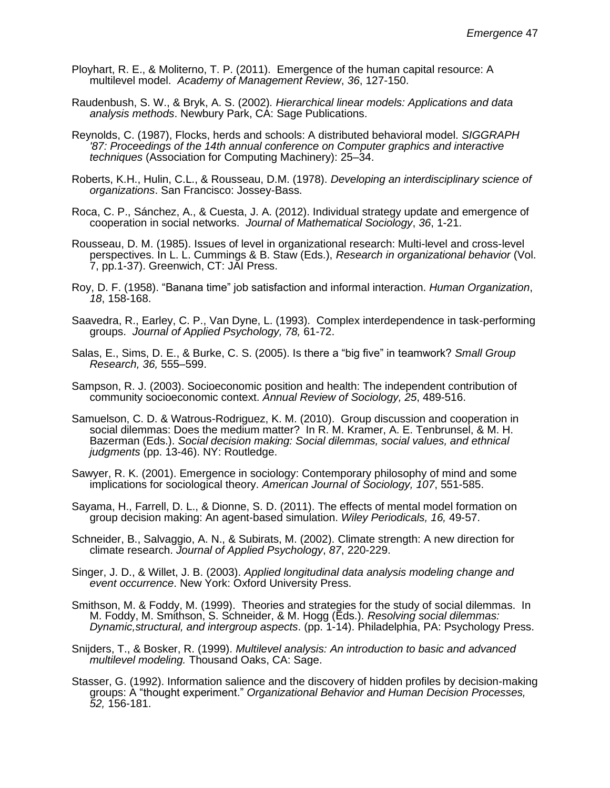- Ployhart, R. E., & Moliterno, T. P. (2011). Emergence of the human capital resource: A multilevel model. *Academy of Management Review*, *36*, 127-150.
- Raudenbush, S. W., & Bryk, A. S. (2002)*. Hierarchical linear models: Applications and data analysis methods*. Newbury Park, CA: Sage Publications.
- Reynolds, C. (1987), Flocks, herds and schools: A distributed behavioral model. *SIGGRAPH '87: Proceedings of the 14th annual conference on Computer graphics and interactive techniques* (Association for Computing Machinery): 25–34.
- Roberts, K.H., Hulin, C.L., & Rousseau, D.M. (1978). *Developing an interdisciplinary science of organizations*. San Francisco: Jossey-Bass.
- Roca, C. P., Sánchez, A., & Cuesta, J. A. (2012). Individual strategy update and emergence of cooperation in social networks. *Journal of Mathematical Sociology*, *36*, 1-21.
- Rousseau, D. M. (1985). Issues of level in organizational research: Multi-level and cross-level perspectives. In L. L. Cummings & B. Staw (Eds.), *Research in organizational behavior* (Vol. 7, pp.1-37). Greenwich, CT: JAI Press.
- Roy, D. F. (1958). "Banana time" job satisfaction and informal interaction. *Human Organization*, *18*, 158-168.
- Saavedra, R., Earley, C. P., Van Dyne, L. (1993). Complex interdependence in task-performing groups. *Journal of Applied Psychology, 78,* 61-72.
- Salas, E., Sims, D. E., & Burke, C. S. (2005). Is there a "big five" in teamwork? *Small Group Research, 36,* 555–599.
- Sampson, R. J. (2003). Socioeconomic position and health: The independent contribution of community socioeconomic context. *Annual Review of Sociology, 25*, 489-516.
- Samuelson, C. D. & Watrous-Rodriguez, K. M. (2010). Group discussion and cooperation in social dilemmas: Does the medium matter? In R. M. Kramer, A. E. Tenbrunsel, & M. H. Bazerman (Eds.). *Social decision making: Social dilemmas, social values, and ethnical judgments* (pp. 13-46). NY: Routledge.
- Sawyer, R. K. (2001). Emergence in sociology: Contemporary philosophy of mind and some implications for sociological theory. *American Journal of Sociology, 107*, 551-585.
- Sayama, H., Farrell, D. L., & Dionne, S. D. (2011). The effects of mental model formation on group decision making: An agent-based simulation. *Wiley Periodicals, 16,* 49-57.
- Schneider, B., Salvaggio, A. N., & Subirats, M. (2002). Climate strength: A new direction for climate research. *Journal of Applied Psychology*, *87*, 220-229.
- Singer, J. D., & Willet, J. B. (2003). *Applied longitudinal data analysis modeling change and event occurrence*. New York: Oxford University Press.
- Smithson, M. & Foddy, M. (1999). Theories and strategies for the study of social dilemmas. In M. Foddy, M. Smithson, S. Schneider, & M. Hogg (Eds.). *Resolving social dilemmas: Dynamic,structural, and intergroup aspects*. (pp. 1-14). Philadelphia, PA: Psychology Press.
- Snijders, T., & Bosker, R. (1999). *Multilevel analysis: An introduction to basic and advanced multilevel modeling.* Thousand Oaks, CA: Sage.
- Stasser, G. (1992). Information salience and the discovery of hidden profiles by decision-making groups: A "thought experiment." *Organizational Behavior and Human Decision Processes, 52,* 156-181.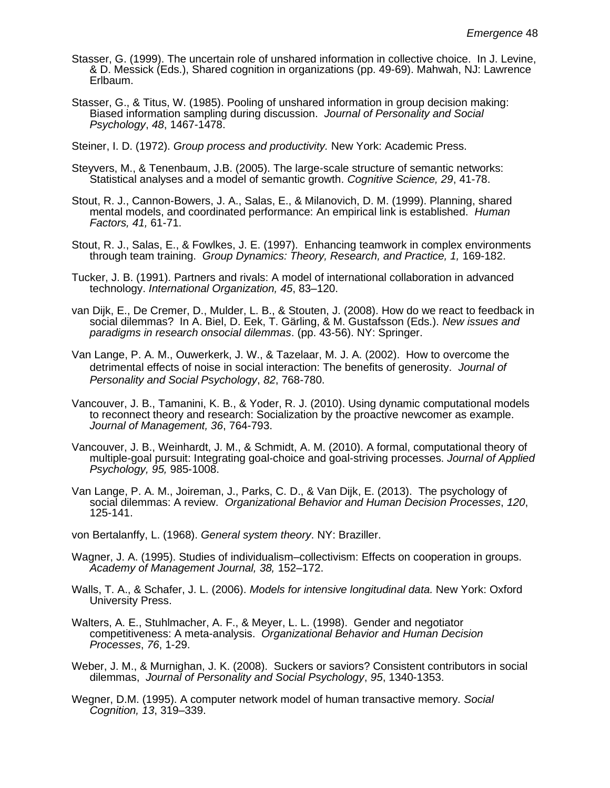- Stasser, G. (1999). The uncertain role of unshared information in collective choice. In J. Levine, & D. Messick (Eds.), Shared cognition in organizations (pp. 49-69). Mahwah, NJ: Lawrence Erlbaum.
- Stasser, G., & Titus, W. (1985). Pooling of unshared information in group decision making: Biased information sampling during discussion. *Journal of Personality and Social Psychology*, *48*, 1467-1478.
- Steiner, I. D. (1972). *Group process and productivity.* New York: Academic Press.
- Steyvers, M., & Tenenbaum, J.B. (2005). The large-scale structure of semantic networks: Statistical analyses and a model of semantic growth. *Cognitive Science, 29*, 41-78.
- Stout, R. J., Cannon-Bowers, J. A., Salas, E., & Milanovich, D. M. (1999). Planning, shared mental models, and coordinated performance: An empirical link is established. *Human Factors, 41,* 61-71.
- Stout, R. J., Salas, E., & Fowlkes, J. E. (1997). Enhancing teamwork in complex environments through team training. *Group Dynamics: Theory, Research, and Practice, 1,* 169-182.
- Tucker, J. B. (1991). Partners and rivals: A model of international collaboration in advanced technology. *International Organization, 45*, 83–120.
- van Dijk, E., De Cremer, D., Mulder, L. B., & Stouten, J. (2008). How do we react to feedback in social dilemmas? In A. Biel, D. Eek, T. Gärling, & M. Gustafsson (Eds.). *New issues and paradigms in research onsocial dilemmas*. (pp. 43-56). NY: Springer.
- Van Lange, P. A. M., Ouwerkerk, J. W., & Tazelaar, M. J. A. (2002). How to overcome the detrimental effects of noise in social interaction: The benefits of generosity. *Journal of Personality and Social Psychology*, *82*, 768-780.
- Vancouver, J. B., Tamanini, K. B., & Yoder, R. J. (2010). Using dynamic computational models to reconnect theory and research: Socialization by the proactive newcomer as example. *Journal of Management, 36*, 764-793.
- Vancouver, J. B., Weinhardt, J. M., & Schmidt, A. M. (2010). A formal, computational theory of multiple-goal pursuit: Integrating goal-choice and goal-striving processes. *Journal of Applied Psychology, 95,* 985-1008.
- Van Lange, P. A. M., Joireman, J., Parks, C. D., & Van Dijk, E. (2013). The psychology of social dilemmas: A review. *Organizational Behavior and Human Decision Processes*, *120*, 125-141.
- von Bertalanffy, L. (1968). *General system theory*. NY: Braziller.
- Wagner, J. A. (1995). Studies of individualism–collectivism: Effects on cooperation in groups. *Academy of Management Journal, 38,* 152–172.
- Walls, T. A., & Schafer, J. L. (2006). *Models for intensive longitudinal data.* New York: Oxford University Press.
- Walters, A. E., Stuhlmacher, A. F., & Meyer, L. L. (1998). Gender and negotiator competitiveness: A meta-analysis. *Organizational Behavior and Human Decision Processes*, *76*, 1-29.
- Weber, J. M., & Murnighan, J. K. (2008). Suckers or saviors? Consistent contributors in social dilemmas, *Journal of Personality and Social Psychology*, *95*, 1340-1353.
- Wegner, D.M. (1995). A computer network model of human transactive memory. *Social Cognition, 13*, 319–339.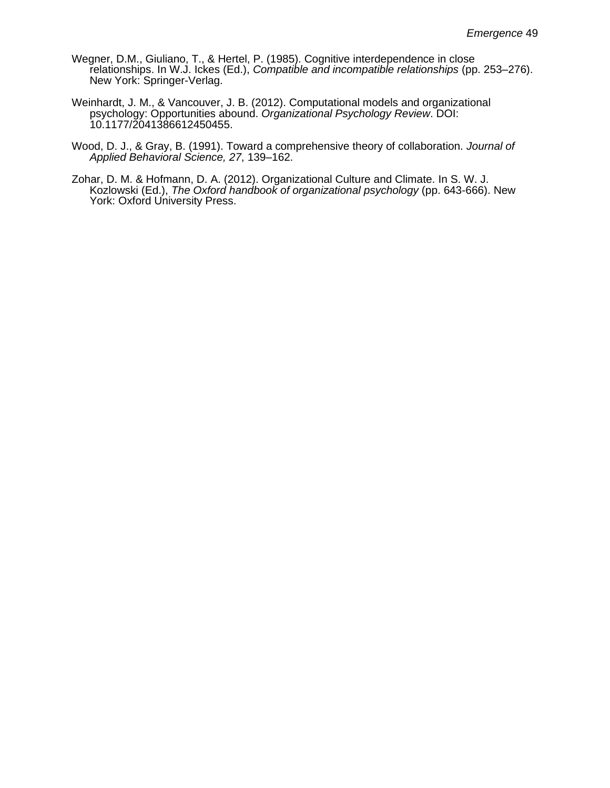- Wegner, D.M., Giuliano, T., & Hertel, P. (1985). Cognitive interdependence in close relationships. In W.J. Ickes (Ed.), *Compatible and incompatible relationships* (pp. 253–276). New York: Springer-Verlag.
- Weinhardt, J. M., & Vancouver, J. B. (2012). Computational models and organizational psychology: Opportunities abound. *Organizational Psychology Review*. DOI: 10.1177/2041386612450455.
- Wood, D. J., & Gray, B. (1991). Toward a comprehensive theory of collaboration. *Journal of Applied Behavioral Science, 27*, 139–162.
- Zohar, D. M. & Hofmann, D. A. (2012). Organizational Culture and Climate. In S. W. J. Kozlowski (Ed.), *The Oxford handbook of organizational psychology* (pp. 643-666). New York: Oxford University Press.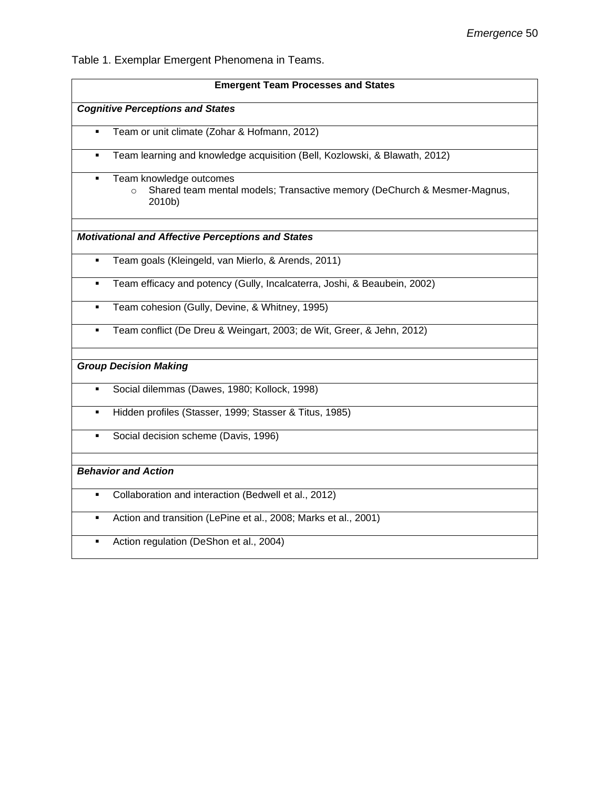Table 1. Exemplar Emergent Phenomena in Teams.

## **Emergent Team Processes and States**

#### *Cognitive Perceptions and States*

- **•** Team or unit climate (Zohar & Hofmann, 2012)
- Team learning and knowledge acquisition (Bell, Kozlowski, & Blawath, 2012)
- Team knowledge outcomes
	- o Shared team mental models; Transactive memory (DeChurch & Mesmer-Magnus, 2010b)

#### *Motivational and Affective Perceptions and States*

- **E** Team goals (Kleingeld, van Mierlo, & Arends, 2011)
- Team efficacy and potency (Gully, Incalcaterra, Joshi, & Beaubein, 2002)
- Team cohesion (Gully, Devine, & Whitney, 1995)
- Team conflict (De Dreu & Weingart, 2003; de Wit, Greer, & Jehn, 2012)

#### *Group Decision Making*

- Social dilemmas (Dawes, 1980; Kollock, 1998)
- Hidden profiles (Stasser, 1999; Stasser & Titus, 1985)
- Social decision scheme (Davis, 1996)

#### *Behavior and Action*

- Collaboration and interaction (Bedwell et al., 2012)
- Action and transition (LePine et al., 2008; Marks et al., 2001)
- **EXECT:** Action regulation (DeShon et al., 2004)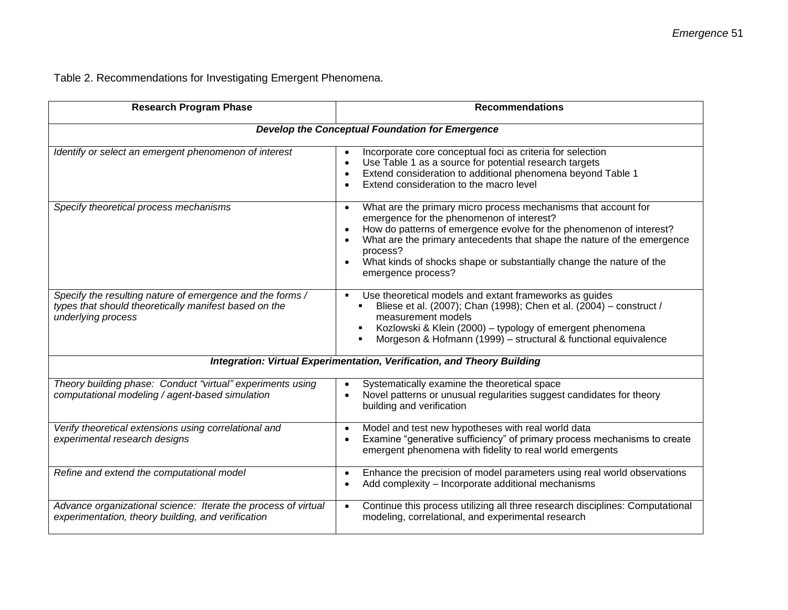Table 2. Recommendations for Investigating Emergent Phenomena.

| <b>Research Program Phase</b>                                                                                                            | <b>Recommendations</b>                                                                                                                                                                                                                                                                                                                                                                            |  |  |
|------------------------------------------------------------------------------------------------------------------------------------------|---------------------------------------------------------------------------------------------------------------------------------------------------------------------------------------------------------------------------------------------------------------------------------------------------------------------------------------------------------------------------------------------------|--|--|
| Develop the Conceptual Foundation for Emergence                                                                                          |                                                                                                                                                                                                                                                                                                                                                                                                   |  |  |
| Identify or select an emergent phenomenon of interest                                                                                    | Incorporate core conceptual foci as criteria for selection<br>Use Table 1 as a source for potential research targets<br>Extend consideration to additional phenomena beyond Table 1<br>Extend consideration to the macro level                                                                                                                                                                    |  |  |
| Specify theoretical process mechanisms                                                                                                   | What are the primary micro process mechanisms that account for<br>$\bullet$<br>emergence for the phenomenon of interest?<br>How do patterns of emergence evolve for the phenomenon of interest?<br>What are the primary antecedents that shape the nature of the emergence<br>process?<br>What kinds of shocks shape or substantially change the nature of the<br>$\bullet$<br>emergence process? |  |  |
| Specify the resulting nature of emergence and the forms /<br>types that should theoretically manifest based on the<br>underlying process | Use theoretical models and extant frameworks as guides<br>Bliese et al. (2007); Chan (1998); Chen et al. (2004) – construct /<br>measurement models<br>Kozlowski & Klein (2000) - typology of emergent phenomena<br>٠<br>Morgeson & Hofmann (1999) - structural & functional equivalence                                                                                                          |  |  |
| Integration: Virtual Experimentation, Verification, and Theory Building                                                                  |                                                                                                                                                                                                                                                                                                                                                                                                   |  |  |
| Theory building phase: Conduct "virtual" experiments using<br>computational modeling / agent-based simulation                            | Systematically examine the theoretical space<br>Novel patterns or unusual regularities suggest candidates for theory<br>building and verification                                                                                                                                                                                                                                                 |  |  |
| Verify theoretical extensions using correlational and<br>experimental research designs                                                   | Model and test new hypotheses with real world data<br>Examine "generative sufficiency" of primary process mechanisms to create<br>emergent phenomena with fidelity to real world emergents                                                                                                                                                                                                        |  |  |
| Refine and extend the computational model                                                                                                | Enhance the precision of model parameters using real world observations<br>$\bullet$<br>Add complexity - Incorporate additional mechanisms                                                                                                                                                                                                                                                        |  |  |
| Advance organizational science: Iterate the process of virtual<br>experimentation, theory building, and verification                     | Continue this process utilizing all three research disciplines: Computational<br>$\bullet$<br>modeling, correlational, and experimental research                                                                                                                                                                                                                                                  |  |  |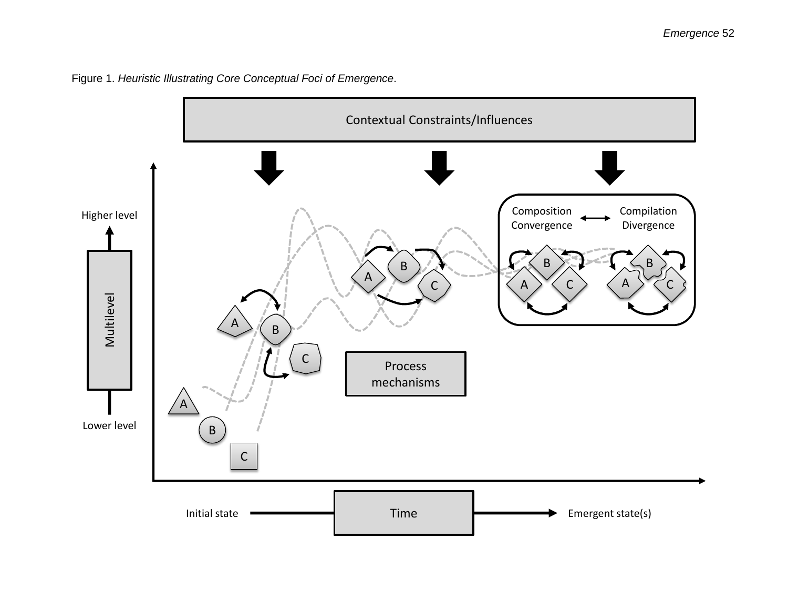

Figure 1. *Heuristic Illustrating Core Conceptual Foci of Emergence*.